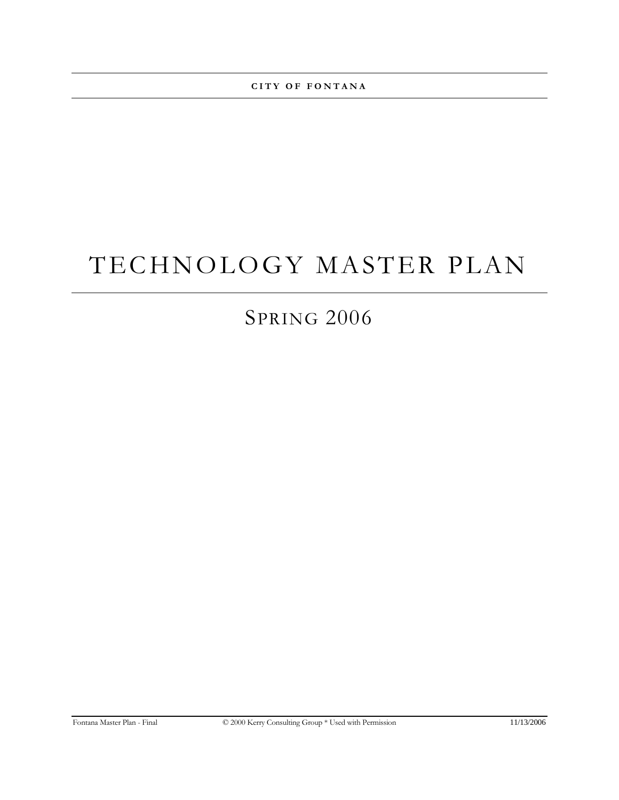**CITY OF FONTANA** 

# TECHNOLOGY MASTER PLAN

# SPRING 2006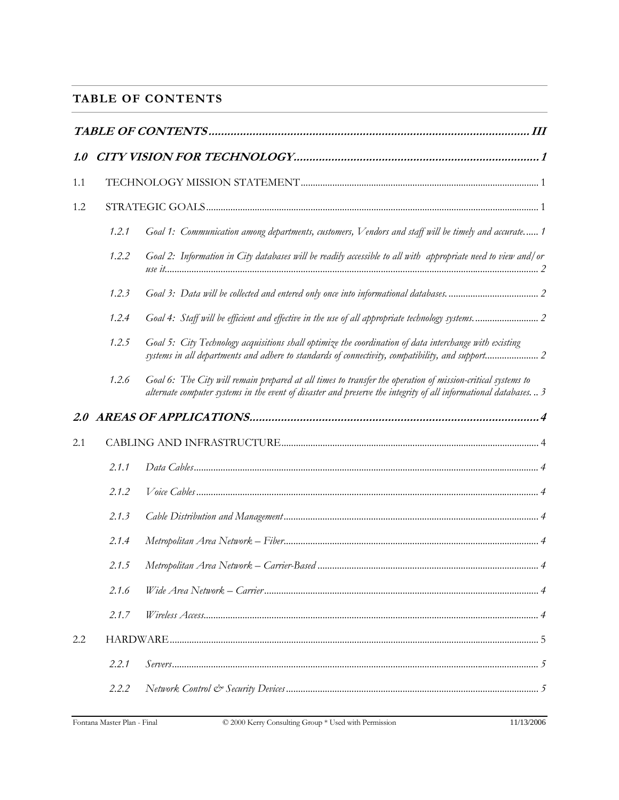# <span id="page-2-0"></span>**TABLE OF CONTENTS**

| 1.0 |       |                                                                                                                                                                                                                                |
|-----|-------|--------------------------------------------------------------------------------------------------------------------------------------------------------------------------------------------------------------------------------|
| 1.1 |       |                                                                                                                                                                                                                                |
| 1.2 |       |                                                                                                                                                                                                                                |
|     | 1.2.1 | Goal 1: Communication among departments, customers, Vendors and staff will be timely and accurate 1                                                                                                                            |
|     | 1.2.2 | Goal 2: Information in City databases will be readily accessible to all with appropriate need to view and/or                                                                                                                   |
|     | 1.2.3 |                                                                                                                                                                                                                                |
|     | 1,2.4 | Goal 4: Staff will be efficient and effective in the use of all appropriate technology systems 2                                                                                                                               |
|     | 1.2.5 | Goal 5: City Technology acquisitions shall optimize the coordination of data interchange with existing<br>systems in all departments and adhere to standards of connectivity, compatibility, and support 2                     |
|     | 1.2.6 | Goal 6: The City will remain prepared at all times to transfer the operation of mission-critical systems to<br>alternate computer systems in the event of disaster and preserve the integrity of all informational databases 3 |
|     |       |                                                                                                                                                                                                                                |
| 2.1 |       |                                                                                                                                                                                                                                |
|     | 2.1.1 |                                                                                                                                                                                                                                |
|     | 2.1.2 |                                                                                                                                                                                                                                |
|     | 2.1.3 |                                                                                                                                                                                                                                |
|     | 2.1.4 |                                                                                                                                                                                                                                |
|     | 2.1.5 |                                                                                                                                                                                                                                |
|     | 2.1.6 |                                                                                                                                                                                                                                |
|     | 2.1.7 |                                                                                                                                                                                                                                |
| 2.2 |       |                                                                                                                                                                                                                                |
|     | 2.2.1 |                                                                                                                                                                                                                                |
|     | 2.2.2 |                                                                                                                                                                                                                                |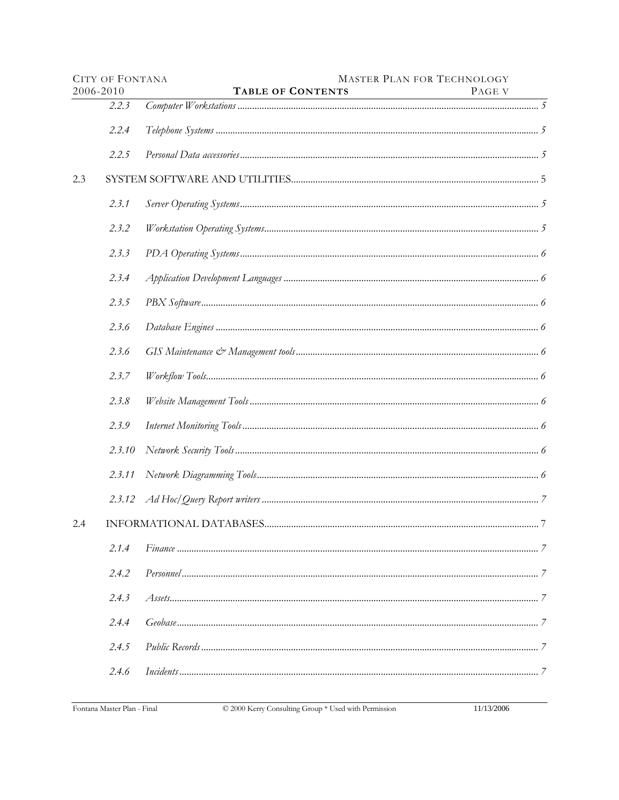|           | <b>CITY OF FONTANA</b> |                   | <b>MASTER PLAN FOR TECHNOLOGY</b> |
|-----------|------------------------|-------------------|-----------------------------------|
| 2006-2010 |                        | TABLE OF CONTENTS | PAGE V                            |
|           | 2.2.3                  |                   |                                   |
|           | 2.2.4                  |                   |                                   |
|           | 2.2.5                  |                   |                                   |
| 2.3       |                        |                   |                                   |
|           | 2.3.1                  |                   |                                   |
|           | 2.3.2                  |                   |                                   |
|           | 2.3.3                  |                   |                                   |
|           | 2.3.4                  |                   |                                   |
|           | 2.3.5                  |                   |                                   |
|           | 2.3.6                  |                   |                                   |
|           | 2.3.6                  |                   |                                   |
|           | 2.3.7                  |                   |                                   |
|           | 2.3.8                  |                   |                                   |
|           | 2.3.9                  |                   |                                   |
|           | 2.3.10                 |                   |                                   |
|           | 2.3.11                 |                   |                                   |
|           | 2,3,12                 |                   |                                   |
| 2.4       |                        |                   |                                   |
|           | 2.1.4                  |                   |                                   |
|           | 2.4.2                  |                   |                                   |
|           | 2.4.3                  |                   |                                   |
|           | 2.4.4                  |                   |                                   |
|           | 2.4.5                  |                   |                                   |
|           | 2.4.6                  |                   |                                   |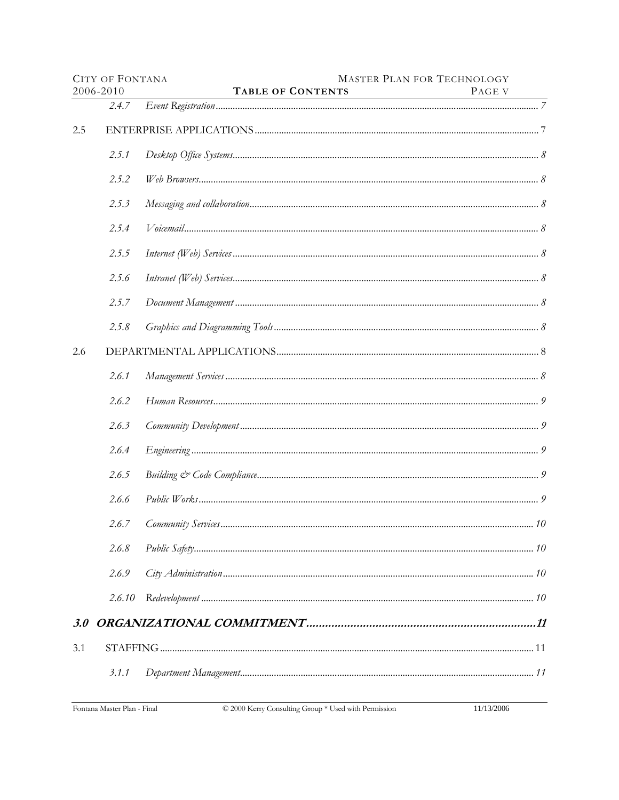|     | <b>CITY OF FONTANA</b> |                          | <b>MASTER PLAN FOR TECHNOLOGY</b> |
|-----|------------------------|--------------------------|-----------------------------------|
|     | 2006-2010              | <b>TABLE OF CONTENTS</b> | PAGE V                            |
|     | 2.4.7                  |                          |                                   |
| 2.5 |                        |                          |                                   |
|     | 2.5.1                  |                          |                                   |
|     | 2.5.2                  |                          |                                   |
|     | 2.5.3                  |                          |                                   |
|     | 2.5.4                  |                          |                                   |
|     | 2.5.5                  |                          |                                   |
|     | 2.5.6                  |                          |                                   |
|     | 2.5.7                  |                          |                                   |
|     | 2.5.8                  |                          |                                   |
| 2.6 |                        |                          |                                   |
|     | 2.6.1                  |                          |                                   |
|     | 2.6.2                  |                          |                                   |
|     | 2.6.3                  |                          |                                   |
|     | 2.6.4                  |                          |                                   |
|     | 2.6.5                  |                          |                                   |
|     | 2.6.6                  |                          |                                   |
|     | 2.6.7                  |                          |                                   |
|     | 2.6.8                  |                          |                                   |
|     | 2.6.9                  |                          |                                   |
|     | 2.6.10                 |                          |                                   |
|     |                        |                          |                                   |
| 3.1 |                        |                          |                                   |
|     | 3.1.1                  |                          |                                   |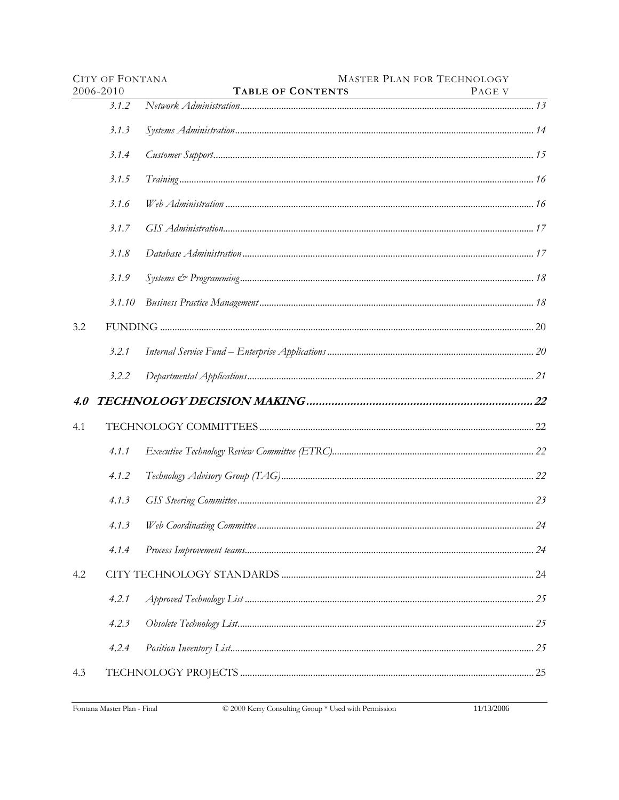|     | <b>CITY OF FONTANA</b> |                          | <b>MASTER PLAN FOR TECHNOLOGY</b> |
|-----|------------------------|--------------------------|-----------------------------------|
|     | 2006-2010              | <b>TABLE OF CONTENTS</b> | PAGE V                            |
|     | 3.1.2                  |                          |                                   |
|     | 3.1.3                  |                          |                                   |
|     | 3.1.4                  |                          |                                   |
|     | 3.1.5                  |                          |                                   |
|     | 3.1.6                  |                          |                                   |
|     | 3.1.7                  |                          |                                   |
|     | 3.1.8                  |                          |                                   |
|     | 3.1.9                  |                          |                                   |
|     | 3.1.10                 |                          |                                   |
| 3.2 |                        |                          |                                   |
|     | 3.2.1                  |                          |                                   |
|     | 3.2.2                  |                          |                                   |
| 4.0 |                        |                          |                                   |
| 4.1 |                        |                          |                                   |
|     | 4.1.1                  |                          |                                   |
|     | 4.1.2                  |                          |                                   |
|     | 4.1.3                  |                          |                                   |
|     | 4.1.3                  |                          | $\ldots$ 24                       |
|     | 4.1.4                  |                          |                                   |
| 4.2 |                        |                          |                                   |
|     | 4.2.1                  |                          |                                   |
|     | 4.2.3                  |                          |                                   |
|     | 4.2.4                  |                          |                                   |
| 4.3 |                        |                          |                                   |
|     |                        |                          |                                   |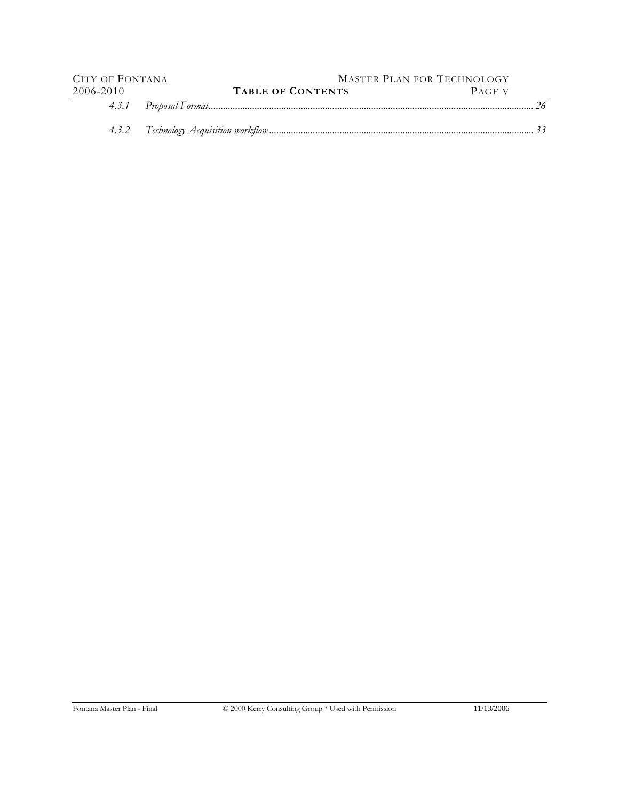| CITY OF FONTANA |                          | MASTER PLAN FOR TECHNOLOGY |  |  |  |  |
|-----------------|--------------------------|----------------------------|--|--|--|--|
| 2006-2010       | <b>TABLE OF CONTENTS</b> | PAGE V                     |  |  |  |  |
|                 |                          |                            |  |  |  |  |
|                 |                          |                            |  |  |  |  |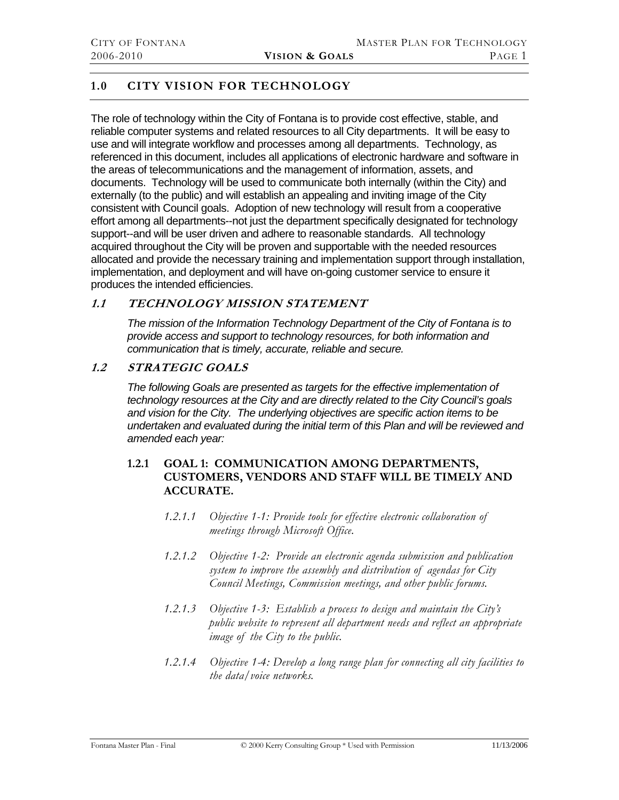# <span id="page-7-0"></span>**1.0 CITY VISION FOR TECHNOLOGY**

The role of technology within the City of Fontana is to provide cost effective, stable, and reliable computer systems and related resources to all City departments. It will be easy to use and will integrate workflow and processes among all departments. Technology, as referenced in this document, includes all applications of electronic hardware and software in the areas of telecommunications and the management of information, assets, and documents. Technology will be used to communicate both internally (within the City) and externally (to the public) and will establish an appealing and inviting image of the City consistent with Council goals. Adoption of new technology will result from a cooperative effort among all departments--not just the department specifically designated for technology support--and will be user driven and adhere to reasonable standards. All technology acquired throughout the City will be proven and supportable with the needed resources allocated and provide the necessary training and implementation support through installation, implementation, and deployment and will have on-going customer service to ensure it produces the intended efficiencies.

# **1.1 TECHNOLOGY MISSION STATEMENT**

*The mission of the Information Technology Department of the City of Fontana is to provide access and support to technology resources, for both information and communication that is timely, accurate, reliable and secure.* 

# **1.2 STRATEGIC GOALS**

*The following Goals are presented as targets for the effective implementation of technology resources at the City and are directly related to the City Council's goals and vision for the City. The underlying objectives are specific action items to be undertaken and evaluated during the initial term of this Plan and will be reviewed and amended each year:* 

# **1.2.1 GOAL 1: COMMUNICATION AMONG DEPARTMENTS, CUSTOMERS, VENDORS AND STAFF WILL BE TIMELY AND ACCURATE.**

- *1.2.1.1 Objective 1-1: Provide tools for effective electronic collaboration of meetings through Microsoft Office.*
- *1.2.1.2 Objective 1-2: Provide an electronic agenda submission and publication system to improve the assembly and distribution of agendas for City Council Meetings, Commission meetings, and other public forums.*
- *1.2.1.3 Objective 1-3: Establish a process to design and maintain the City's public website to represent all department needs and reflect an appropriate image of the City to the public.*
- *1.2.1.4 Objective 1-4: Develop a long range plan for connecting all city facilities to the data/voice networks.*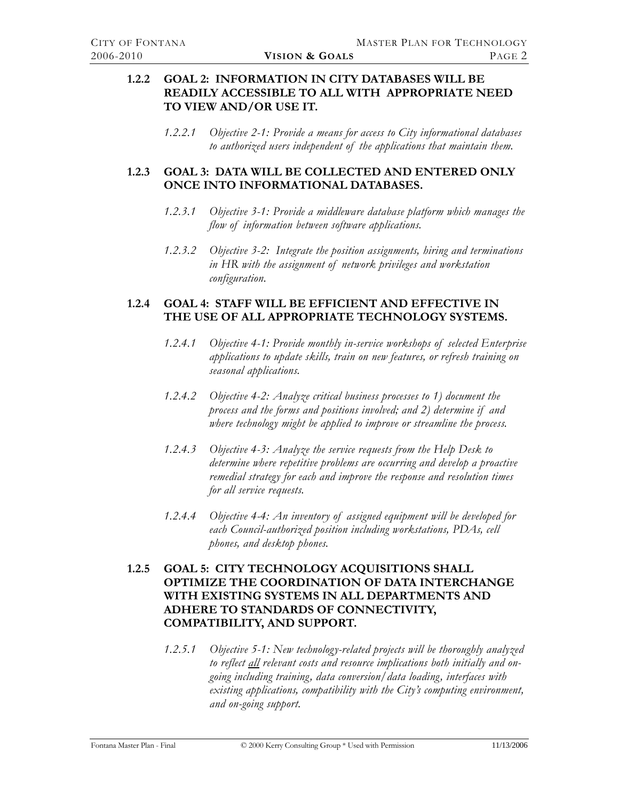# <span id="page-8-0"></span>**1.2.2 GOAL 2: INFORMATION IN CITY DATABASES WILL BE READILY ACCESSIBLE TO ALL WITH APPROPRIATE NEED TO VIEW AND/OR USE IT.**

*1.2.2.1 Objective 2-1: Provide a means for access to City informational databases to authorized users independent of the applications that maintain them.* 

# **1.2.3 GOAL 3: DATA WILL BE COLLECTED AND ENTERED ONLY ONCE INTO INFORMATIONAL DATABASES.**

- *1.2.3.1 Objective 3-1: Provide a middleware database platform which manages the flow of information between software applications.*
- *1.2.3.2 Objective 3-2: Integrate the position assignments, hiring and terminations in HR with the assignment of network privileges and workstation configuration.*

# **1.2.4 GOAL 4: STAFF WILL BE EFFICIENT AND EFFECTIVE IN THE USE OF ALL APPROPRIATE TECHNOLOGY SYSTEMS.**

- *1.2.4.1 Objective 4-1: Provide monthly in-service workshops of selected Enterprise applications to update skills, train on new features, or refresh training on seasonal applications.*
- *1.2.4.2 Objective 4-2: Analyze critical business processes to 1) document the process and the forms and positions involved; and 2) determine if and where technology might be applied to improve or streamline the process.*
- *1.2.4.3 Objective 4-3: Analyze the service requests from the Help Desk to determine where repetitive problems are occurring and develop a proactive remedial strategy for each and improve the response and resolution times for all service requests.*
- *1.2.4.4 Objective 4-4: An inventory of assigned equipment will be developed for each Council-authorized position including workstations, PDAs, cell phones, and desktop phones.*

# **1.2.5 GOAL 5: CITY TECHNOLOGY ACQUISITIONS SHALL OPTIMIZE THE COORDINATION OF DATA INTERCHANGE WITH EXISTING SYSTEMS IN ALL DEPARTMENTS AND ADHERE TO STANDARDS OF CONNECTIVITY, COMPATIBILITY, AND SUPPORT.**

*1.2.5.1 Objective 5-1: New technology-related projects will be thoroughly analyzed to reflect all relevant costs and resource implications both initially and ongoing including training, data conversion/data loading, interfaces with existing applications, compatibility with the City's computing environment, and on-going support.*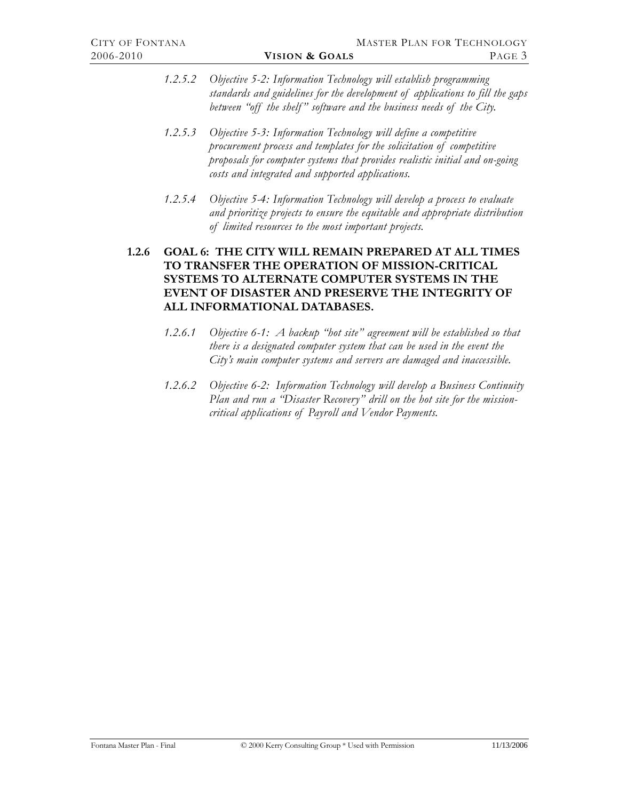<span id="page-9-0"></span>*1.2.5.2 Objective 5-2: Information Technology will establish programming standards and guidelines for the development of applications to fill the gaps*  between "off the shelf" software and the business needs of the City.

# *1.2.5.3 Objective 5-3: Information Technology will define a competitive procurement process and templates for the solicitation of competitive proposals for computer systems that provides realistic initial and on-going costs and integrated and supported applications.*

*1.2.5.4 Objective 5-4: Information Technology will develop a process to evaluate and prioritize projects to ensure the equitable and appropriate distribution of limited resources to the most important projects.* 

# **1.2.6 GOAL 6: THE CITY WILL REMAIN PREPARED AT ALL TIMES TO TRANSFER THE OPERATION OF MISSION-CRITICAL SYSTEMS TO ALTERNATE COMPUTER SYSTEMS IN THE EVENT OF DISASTER AND PRESERVE THE INTEGRITY OF ALL INFORMATIONAL DATABASES.**

- *1.2.6.1 Objective 6-1: A backup "hot site" agreement will be established so that there is a designated computer system that can be used in the event the City's main computer systems and servers are damaged and inaccessible.*
- *1.2.6.2 Objective 6-2: Information Technology will develop a Business Continuity Plan and run a "Disaster Recovery" drill on the hot site for the missioncritical applications of Payroll and Vendor Payments.*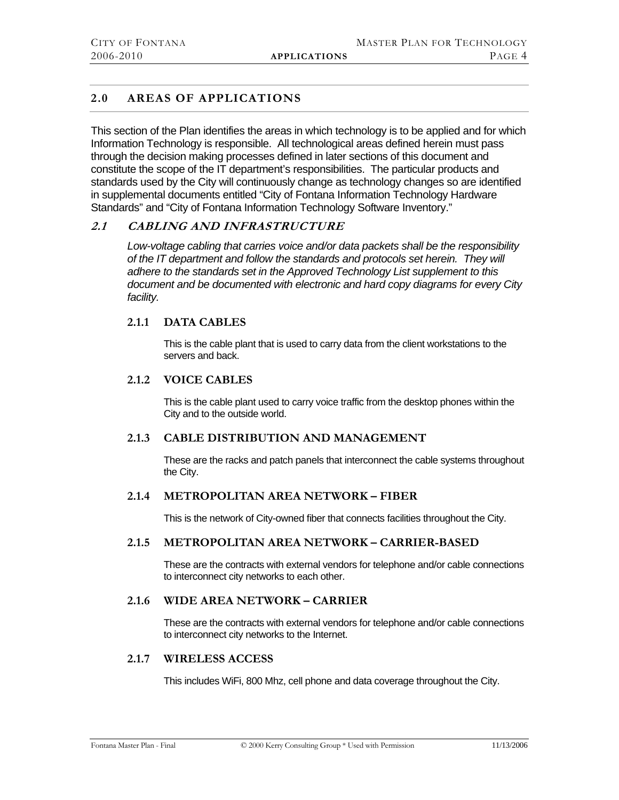# <span id="page-10-0"></span>**2.0 AREAS OF APPLICATIONS**

This section of the Plan identifies the areas in which technology is to be applied and for which Information Technology is responsible. All technological areas defined herein must pass through the decision making processes defined in later sections of this document and constitute the scope of the IT department's responsibilities. The particular products and standards used by the City will continuously change as technology changes so are identified in supplemental documents entitled "City of Fontana Information Technology Hardware Standards" and "City of Fontana Information Technology Software Inventory."

# <span id="page-10-1"></span>**2.1 CABLING AND INFRASTRUCTURE**

*Low-voltage cabling that carries voice and/or data packets shall be the responsibility of the IT department and follow the standards and protocols set herein. They will adhere to the standards set in the Approved Technology List supplement to this document and be documented with electronic and hard copy diagrams for every City facility.* 

# **2.1.1 DATA CABLES**

This is the cable plant that is used to carry data from the client workstations to the servers and back.

# **2.1.2 VOICE CABLES**

This is the cable plant used to carry voice traffic from the desktop phones within the City and to the outside world.

# **2.1.3 CABLE DISTRIBUTION AND MANAGEMENT**

These are the racks and patch panels that interconnect the cable systems throughout the City.

# **2.1.4 METROPOLITAN AREA NETWORK – FIBER**

This is the network of City-owned fiber that connects facilities throughout the City.

# **2.1.5 METROPOLITAN AREA NETWORK – CARRIER-BASED**

These are the contracts with external vendors for telephone and/or cable connections to interconnect city networks to each other.

# **2.1.6 WIDE AREA NETWORK – CARRIER**

These are the contracts with external vendors for telephone and/or cable connections to interconnect city networks to the Internet.

#### **2.1.7 WIRELESS ACCESS**

This includes WiFi, 800 Mhz, cell phone and data coverage throughout the City.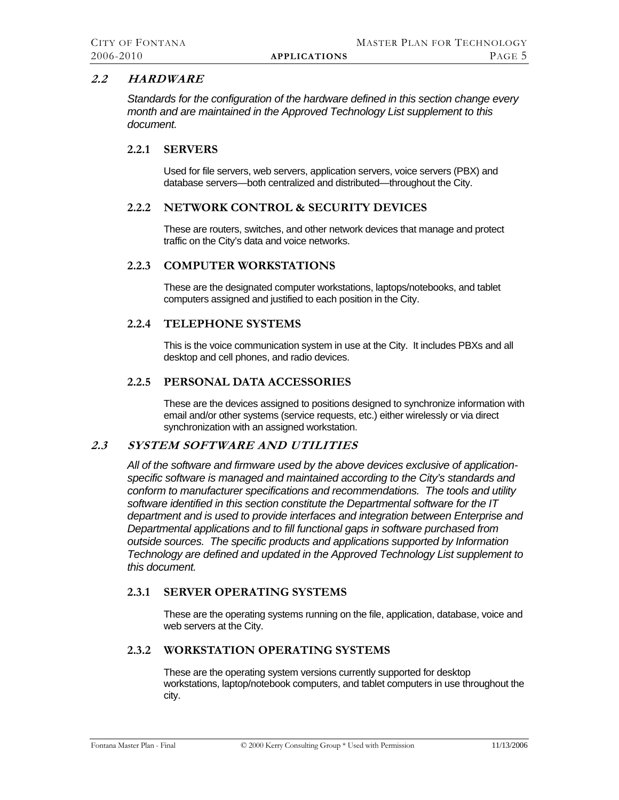# <span id="page-11-1"></span><span id="page-11-0"></span>**2.2 HARDWARE**

*Standards for the configuration of the hardware defined in this section change every month and are maintained in the Approved Technology List supplement to this document.* 

#### **2.2.1 SERVERS**

Used for file servers, web servers, application servers, voice servers (PBX) and database servers—both centralized and distributed—throughout the City.

# **2.2.2 NETWORK CONTROL & SECURITY DEVICES**

These are routers, switches, and other network devices that manage and protect traffic on the City's data and voice networks.

#### **2.2.3 COMPUTER WORKSTATIONS**

These are the designated computer workstations, laptops/notebooks, and tablet computers assigned and justified to each position in the City.

#### **2.2.4 TELEPHONE SYSTEMS**

This is the voice communication system in use at the City. It includes PBXs and all desktop and cell phones, and radio devices.

#### **2.2.5 PERSONAL DATA ACCESSORIES**

These are the devices assigned to positions designed to synchronize information with email and/or other systems (service requests, etc.) either wirelessly or via direct synchronization with an assigned workstation.

# <span id="page-11-2"></span>**2.3 SYSTEM SOFTWARE AND UTILITIES**

*All of the software and firmware used by the above devices exclusive of applicationspecific software is managed and maintained according to the City's standards and conform to manufacturer specifications and recommendations. The tools and utility software identified in this section constitute the Departmental software for the IT department and is used to provide interfaces and integration between Enterprise and Departmental applications and to fill functional gaps in software purchased from outside sources. The specific products and applications supported by Information Technology are defined and updated in the Approved Technology List supplement to this document.* 

# **2.3.1 SERVER OPERATING SYSTEMS**

These are the operating systems running on the file, application, database, voice and web servers at the City.

# **2.3.2 WORKSTATION OPERATING SYSTEMS**

These are the operating system versions currently supported for desktop workstations, laptop/notebook computers, and tablet computers in use throughout the city.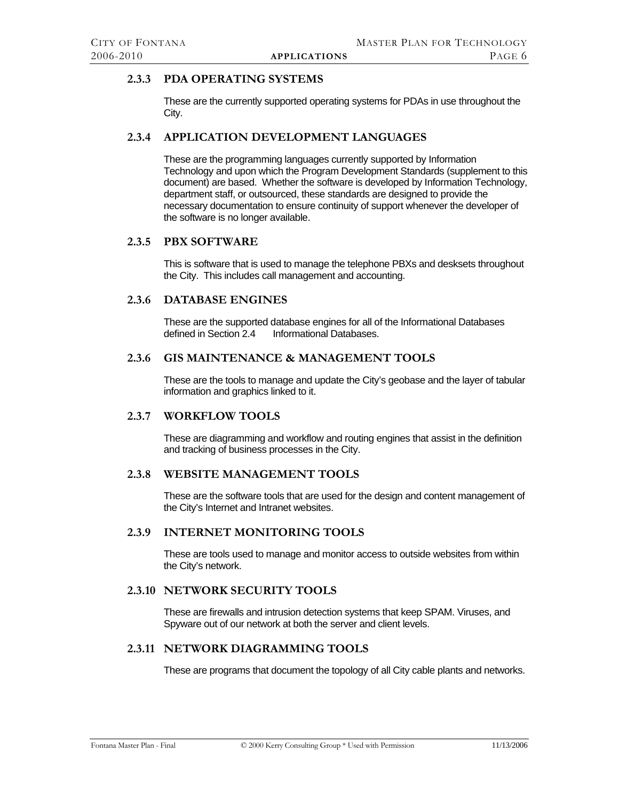# <span id="page-12-0"></span>**2.3.3 PDA OPERATING SYSTEMS**

These are the currently supported operating systems for PDAs in use throughout the City.

#### **2.3.4 APPLICATION DEVELOPMENT LANGUAGES**

These are the programming languages currently supported by Information Technology and upon which the Program Development Standards (supplement to this document) are based. Whether the software is developed by Information Technology, department staff, or outsourced, these standards are designed to provide the necessary documentation to ensure continuity of support whenever the developer of the software is no longer available.

# **2.3.5 PBX SOFTWARE**

This is software that is used to manage the telephone PBXs and desksets throughout the City. This includes call management and accounting.

#### **2.3.6 DATABASE ENGINES**

These are the supported database engines for all of the Informational Databases defined in Section 2.4 Informational Databases. Informational Databases.

# **2.3.6 GIS MAINTENANCE & MANAGEMENT TOOLS**

These are the tools to manage and update the City's geobase and the layer of tabular information and graphics linked to it.

#### **2.3.7 WORKFLOW TOOLS**

These are diagramming and workflow and routing engines that assist in the definition and tracking of business processes in the City.

#### **2.3.8 WEBSITE MANAGEMENT TOOLS**

These are the software tools that are used for the design and content management of the City's Internet and Intranet websites.

#### **2.3.9 INTERNET MONITORING TOOLS**

These are tools used to manage and monitor access to outside websites from within the City's network.

# **2.3.10 NETWORK SECURITY TOOLS**

These are firewalls and intrusion detection systems that keep SPAM. Viruses, and Spyware out of our network at both the server and client levels.

# **2.3.11 NETWORK DIAGRAMMING TOOLS**

These are programs that document the topology of all City cable plants and networks.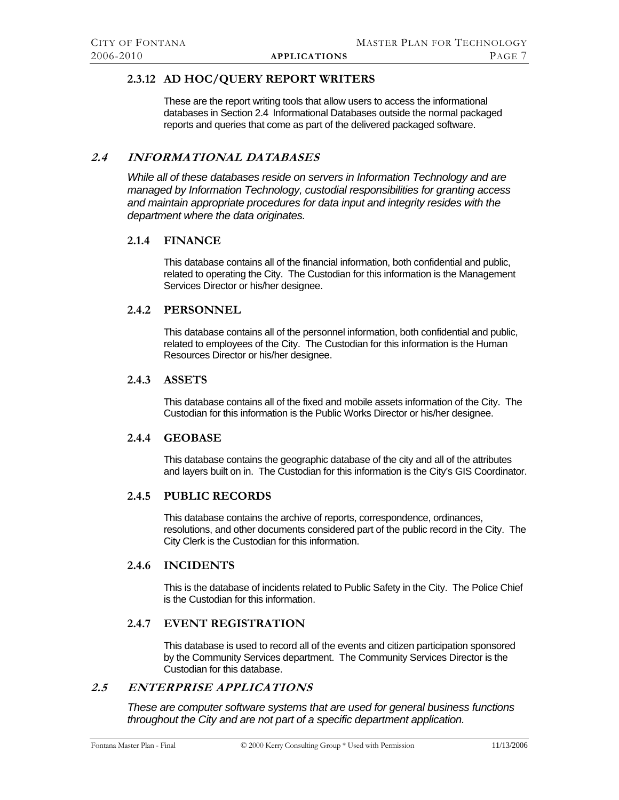# <span id="page-13-0"></span>**2.3.12 AD HOC/QUERY REPORT WRITERS**

These are the report writing tools that allow users to access the informational databases in Section [2.4 Informational Databases](#page-13-1) outside the normal packaged reports and queries that come as part of the delivered packaged software.

# <span id="page-13-1"></span>**2.4 INFORMATIONAL DATABASES**

*While all of these databases reside on servers in Information Technology and are managed by Information Technology, custodial responsibilities for granting access and maintain appropriate procedures for data input and integrity resides with the department where the data originates.* 

#### **2.1.4 FINANCE**

This database contains all of the financial information, both confidential and public, related to operating the City. The Custodian for this information is the Management Services Director or his/her designee.

#### **2.4.2 PERSONNEL**

This database contains all of the personnel information, both confidential and public, related to employees of the City. The Custodian for this information is the Human Resources Director or his/her designee.

#### **2.4.3 ASSETS**

This database contains all of the fixed and mobile assets information of the City. The Custodian for this information is the Public Works Director or his/her designee.

#### **2.4.4 GEOBASE**

This database contains the geographic database of the city and all of the attributes and layers built on in. The Custodian for this information is the City's GIS Coordinator.

#### **2.4.5 PUBLIC RECORDS**

This database contains the archive of reports, correspondence, ordinances, resolutions, and other documents considered part of the public record in the City. The City Clerk is the Custodian for this information.

# **2.4.6 INCIDENTS**

This is the database of incidents related to Public Safety in the City. The Police Chief is the Custodian for this information.

# **2.4.7 EVENT REGISTRATION**

This database is used to record all of the events and citizen participation sponsored by the Community Services department. The Community Services Director is the Custodian for this database.

# <span id="page-13-2"></span>**2.5 ENTERPRISE APPLICATIONS**

*These are computer software systems that are used for general business functions throughout the City and are not part of a specific department application.*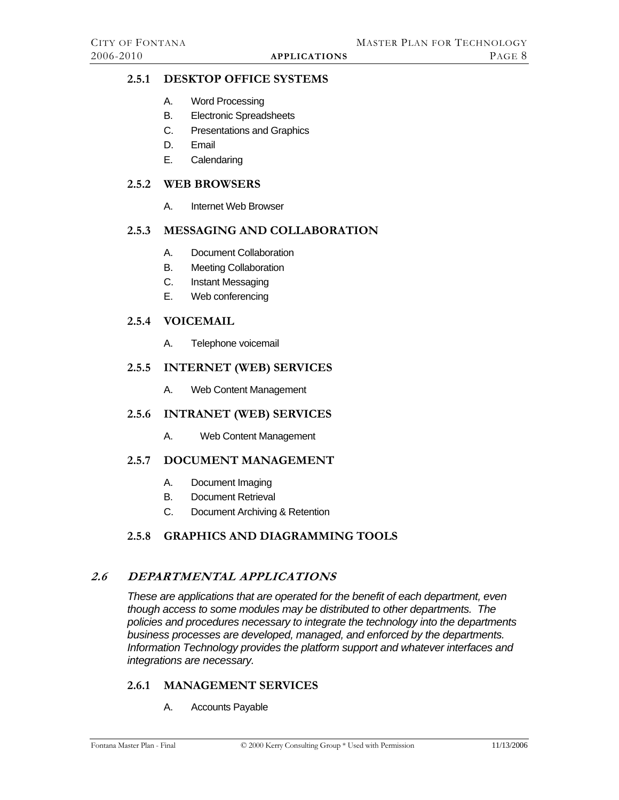# <span id="page-14-5"></span><span id="page-14-0"></span>**2.5.1 DESKTOP OFFICE SYSTEMS**

- A. Word Processing
- B. Electronic Spreadsheets
- C. Presentations and Graphics
- D. Email
- E. Calendaring

# <span id="page-14-6"></span>**2.5.2 WEB BROWSERS**

A. Internet Web Browser

# <span id="page-14-7"></span>**2.5.3 MESSAGING AND COLLABORATION**

- A. Document Collaboration
- B. Meeting Collaboration
- C. Instant Messaging
- E. Web conferencing

# <span id="page-14-1"></span>**2.5.4 VOICEMAIL**

A. Telephone voicemail

#### <span id="page-14-2"></span>**2.5.5 INTERNET (WEB) SERVICES**

A. Web Content Management

# <span id="page-14-3"></span>**2.5.6 INTRANET (WEB) SERVICES**

A. Web Content Management

# <span id="page-14-8"></span>**2.5.7 DOCUMENT MANAGEMENT**

- A. Document Imaging
- B. Document Retrieval
- C. Document Archiving & Retention

# **2.5.8 GRAPHICS AND DIAGRAMMING TOOLS**

# **2.6 DEPARTMENTAL APPLICATIONS**

*These are applications that are operated for the benefit of each department, even though access to some modules may be distributed to other departments. The policies and procedures necessary to integrate the technology into the departments business processes are developed, managed, and enforced by the departments. Information Technology provides the platform support and whatever interfaces and integrations are necessary.* 

# <span id="page-14-4"></span>**2.6.1 MANAGEMENT SERVICES**

A. Accounts Payable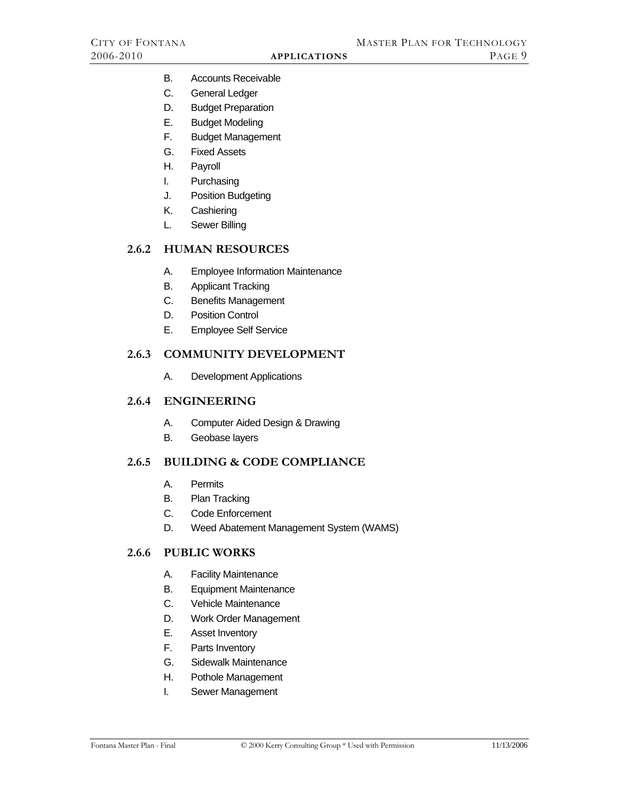- <span id="page-15-0"></span>B. Accounts Receivable
- C. General Ledger
- D. Budget Preparation
- E. Budget Modeling
- F. Budget Management
- G. Fixed Assets
- H. Payroll
- I. Purchasing
- J. Position Budgeting
- K. Cashiering
- L. Sewer Billing

#### <span id="page-15-1"></span>**2.6.2 HUMAN RESOURCES**

- A. Employee Information Maintenance
- B. Applicant Tracking
- C. Benefits Management
- D. Position Control
- E. Employee Self Service

#### <span id="page-15-2"></span>**2.6.3 COMMUNITY DEVELOPMENT**

A. Development Applications

# <span id="page-15-3"></span>**2.6.4 ENGINEERING**

- A. Computer Aided Design & Drawing
- B. Geobase layers

# <span id="page-15-4"></span>**2.6.5 BUILDING & CODE COMPLIANCE**

- A. Permits
- B. Plan Tracking
- C. Code Enforcement
- D. Weed Abatement Management System (WAMS)

# <span id="page-15-5"></span>**2.6.6 PUBLIC WORKS**

- A. Facility Maintenance
- B. Equipment Maintenance
- C. Vehicle Maintenance
- D. Work Order Management
- E. Asset Inventory
- F. Parts Inventory
- G. Sidewalk Maintenance
- H. Pothole Management
- I. Sewer Management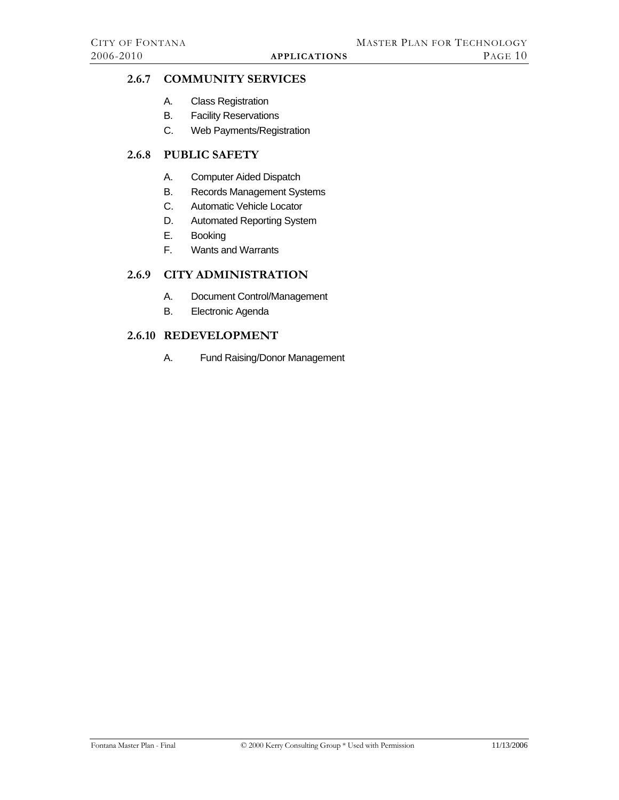# <span id="page-16-1"></span><span id="page-16-0"></span>**2.6.7 COMMUNITY SERVICES**

- A. Class Registration
- B. Facility Reservations
- C. Web Payments/Registration

# <span id="page-16-2"></span>**2.6.8 PUBLIC SAFETY**

- A. Computer Aided Dispatch
- B. Records Management Systems
- C. Automatic Vehicle Locator
- D. Automated Reporting System
- E. Booking
- F. Wants and Warrants

# <span id="page-16-3"></span>**2.6.9 CITY ADMINISTRATION**

- A. Document Control/Management
- B. Electronic Agenda

# <span id="page-16-4"></span>**2.6.10 REDEVELOPMENT**

A. Fund Raising/Donor Management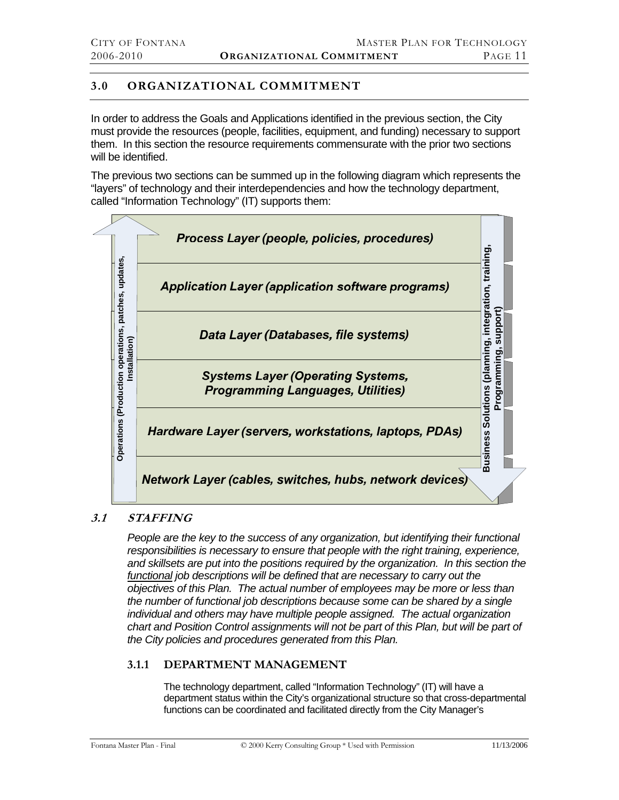# <span id="page-17-0"></span>**3.0 ORGANIZATIONAL COMMITMENT**

In order to address the Goals and Applications identified in the previous section, the City must provide the resources (people, facilities, equipment, and funding) necessary to support them. In this section the resource requirements commensurate with the prior two sections will be identified.

The previous two sections can be summed up in the following diagram which represents the "layers" of technology and their interdependencies and how the technology department, called "Information Technology" (IT) supports them:



# **3.1 STAFFING**

*People are the key to the success of any organization, but identifying their functional responsibilities is necessary to ensure that people with the right training, experience, and skillsets are put into the positions required by the organization. In this section the functional job descriptions will be defined that are necessary to carry out the objectives of this Plan. The actual number of employees may be more or less than the number of functional job descriptions because some can be shared by a single individual and others may have multiple people assigned. The actual organization*  chart and Position Control assignments will not be part of this Plan, but will be part of *the City policies and procedures generated from this Plan.* 

# **3.1.1 DEPARTMENT MANAGEMENT**

The technology department, called "Information Technology" (IT) will have a department status within the City's organizational structure so that cross-departmental functions can be coordinated and facilitated directly from the City Manager's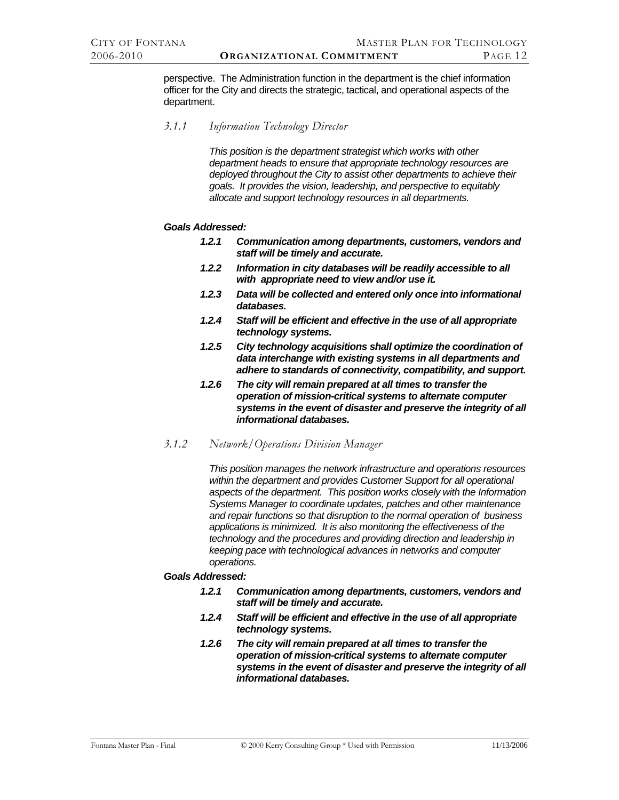perspective. The Administration function in the department is the chief information officer for the City and directs the strategic, tactical, and operational aspects of the department.

*3.1.1 Information Technology Director* 

*This position is the department strategist which works with other department heads to ensure that appropriate technology resources are deployed throughout the City to assist other departments to achieve their goals. It provides the vision, leadership, and perspective to equitably allocate and support technology resources in all departments.* 

#### *Goals Addressed:*

- *1.2.1 Communication among departments, customers, vendors and staff will be timely and accurate.*
- *1.2.2 Information in city databases will be readily accessible to all with appropriate need to view and/or use it.*
- *1.2.3 Data will be collected and entered only once into informational databases.*
- *1.2.4 Staff will be efficient and effective in the use of all appropriate technology systems.*
- *1.2.5 City technology acquisitions shall optimize the coordination of data interchange with existing systems in all departments and adhere to standards of connectivity, compatibility, and support.*
- *1.2.6 The city will remain prepared at all times to transfer the operation of mission-critical systems to alternate computer systems in the event of disaster and preserve the integrity of all informational databases.*
- *3.1.2 Network/Operations Division Manager*

*This position manages the network infrastructure and operations resources within the department and provides Customer Support for all operational aspects of the department. This position works closely with the Information Systems Manager to coordinate updates, patches and other maintenance and repair functions so that disruption to the normal operation of business applications is minimized. It is also monitoring the effectiveness of the technology and the procedures and providing direction and leadership in keeping pace with technological advances in networks and computer operations.* 

#### *Goals Addressed:*

- *1.2.1 Communication among departments, customers, vendors and staff will be timely and accurate.*
- *1.2.4 Staff will be efficient and effective in the use of all appropriate technology systems.*
- *1.2.6 The city will remain prepared at all times to transfer the operation of mission-critical systems to alternate computer systems in the event of disaster and preserve the integrity of all informational databases.*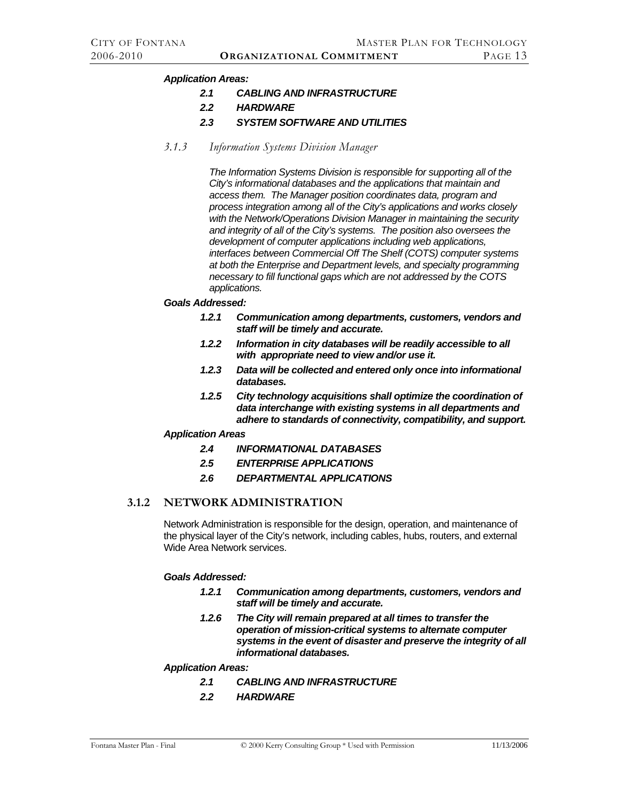#### <span id="page-19-0"></span>*Application Areas:*

- *2.1 CABLING AND INFRASTRUCTURE*
- *2.2 HARDWARE*
- *2.3 SYSTEM SOFTWARE AND UTILITIES*
- *3.1.3 Information Systems Division Manager*

*The Information Systems Division is responsible for supporting all of the City's informational databases and the applications that maintain and access them. The Manager position coordinates data, program and process integration among all of the City's applications and works closely with the Network/Operations Division Manager in maintaining the security and integrity of all of the City's systems. The position also oversees the development of computer applications including web applications, interfaces between Commercial Off The Shelf (COTS) computer systems at both the Enterprise and Department levels, and specialty programming necessary to fill functional gaps which are not addressed by the COTS applications.* 

- *Goals Addressed:* 
	- *1.2.1 Communication among departments, customers, vendors and staff will be timely and accurate.*
	- *1.2.2 Information in city databases will be readily accessible to all with appropriate need to view and/or use it.*
	- *1.2.3 Data will be collected and entered only once into informational databases.*
	- *1.2.5 City technology acquisitions shall optimize the coordination of data interchange with existing systems in all departments and adhere to standards of connectivity, compatibility, and support.*

#### *Application Areas*

- *2.4 INFORMATIONAL DATABASES*
- *2.5 ENTERPRISE APPLICATIONS*
- *2.6 DEPARTMENTAL APPLICATIONS*

# **3.1.2 NETWORK ADMINISTRATION**

Network Administration is responsible for the design, operation, and maintenance of the physical layer of the City's network, including cables, hubs, routers, and external Wide Area Network services.

#### *Goals Addressed:*

- *1.2.1 Communication among departments, customers, vendors and staff will be timely and accurate.*
- *1.2.6 The City will remain prepared at all times to transfer the operation of mission-critical systems to alternate computer systems in the event of disaster and preserve the integrity of all informational databases.*

#### *Application Areas:*

- *2.1 CABLING AND INFRASTRUCTURE*
- *2.2 HARDWARE*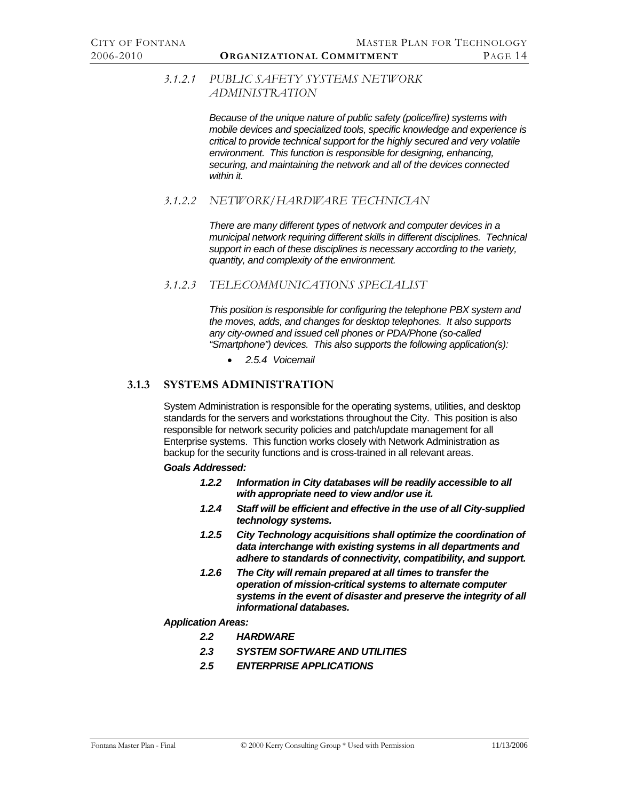# <span id="page-20-0"></span>*3.1.2.1 PUBLIC SAFETY SYSTEMS NETWORK ADMINISTRATION*

*Because of the unique nature of public safety (police/fire) systems with mobile devices and specialized tools, specific knowledge and experience is critical to provide technical support for the highly secured and very volatile environment. This function is responsible for designing, enhancing, securing, and maintaining the network and all of the devices connected within it.* 

# *3.1.2.2 NETWORK/HARDWARE TECHNICIAN*

*There are many different types of network and computer devices in a municipal network requiring different skills in different disciplines. Technical support in each of these disciplines is necessary according to the variety, quantity, and complexity of the environment.* 

# *3.1.2.3 TELECOMMUNICATIONS SPECIALIST*

*This position is responsible for configuring the telephone PBX system and the moves, adds, and changes for desktop telephones. It also supports any city-owned and issued cell phones or PDA/Phone (so-called "Smartphone") devices. This also supports the following application(s):* 

• *[2.5.4 Voicemail](#page-14-1)*

# **3.1.3 SYSTEMS ADMINISTRATION**

System Administration is responsible for the operating systems, utilities, and desktop standards for the servers and workstations throughout the City. This position is also responsible for network security policies and patch/update management for all Enterprise systems. This function works closely with Network Administration as backup for the security functions and is cross-trained in all relevant areas.

#### *Goals Addressed:*

- *1.2.2 Information in City databases will be readily accessible to all with appropriate need to view and/or use it.*
- *1.2.4 Staff will be efficient and effective in the use of all City-supplied technology systems.*
- *1.2.5 City Technology acquisitions shall optimize the coordination of data interchange with existing systems in all departments and adhere to standards of connectivity, compatibility, and support.*
- *1.2.6 The City will remain prepared at all times to transfer the operation of mission-critical systems to alternate computer systems in the event of disaster and preserve the integrity of all informational databases.*

#### *Application Areas:*

- *2.2 HARDWARE*
- *2.3 SYSTEM SOFTWARE AND UTILITIES*
- *2.5 ENTERPRISE APPLICATIONS*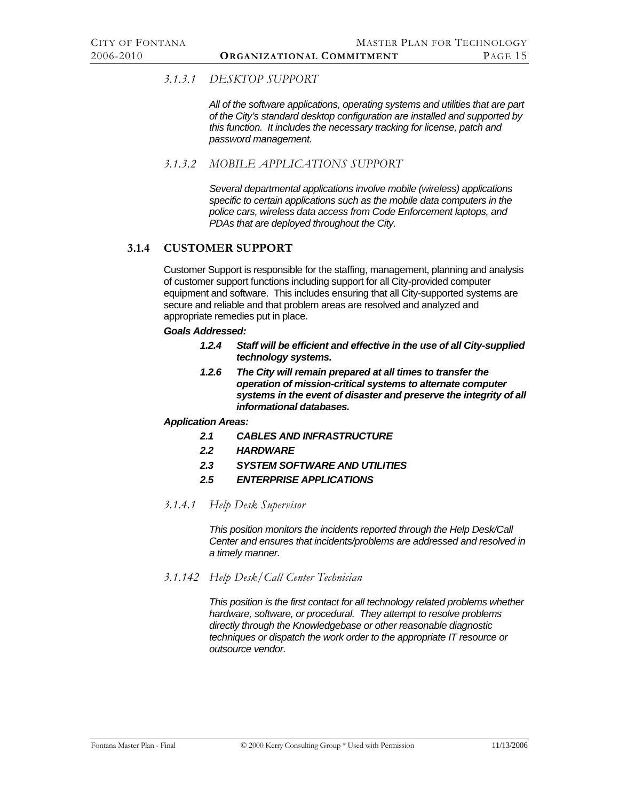# <span id="page-21-0"></span>*3.1.3.1 DESKTOP SUPPORT*

*All of the software applications, operating systems and utilities that are part of the City's standard desktop configuration are installed and supported by this function. It includes the necessary tracking for license, patch and password management.* 

*3.1.3.2 MOBILE APPLICATIONS SUPPORT* 

*Several departmental applications involve mobile (wireless) applications specific to certain applications such as the mobile data computers in the police cars, wireless data access from Code Enforcement laptops, and PDAs that are deployed throughout the City.* 

# **3.1.4 CUSTOMER SUPPORT**

Customer Support is responsible for the staffing, management, planning and analysis of customer support functions including support for all City-provided computer equipment and software. This includes ensuring that all City-supported systems are secure and reliable and that problem areas are resolved and analyzed and appropriate remedies put in place.

#### *Goals Addressed:*

- *1.2.4 Staff will be efficient and effective in the use of all City-supplied technology systems.*
- *1.2.6 The City will remain prepared at all times to transfer the operation of mission-critical systems to alternate computer systems in the event of disaster and preserve the integrity of all informational databases.*

#### *Application Areas:*

- *2.1 CABLES AND INFRASTRUCTURE*
- *2.2 HARDWARE*
- *2.3 SYSTEM SOFTWARE AND UTILITIES*
- *2.5 ENTERPRISE APPLICATIONS*
- *3.1.4.1 Help Desk Supervisor*

*This position monitors the incidents reported through the Help Desk/Call Center and ensures that incidents/problems are addressed and resolved in a timely manner.* 

*3.1.142 Help Desk/Call Center Technician* 

*This position is the first contact for all technology related problems whether hardware, software, or procedural. They attempt to resolve problems directly through the Knowledgebase or other reasonable diagnostic techniques or dispatch the work order to the appropriate IT resource or outsource vendor.*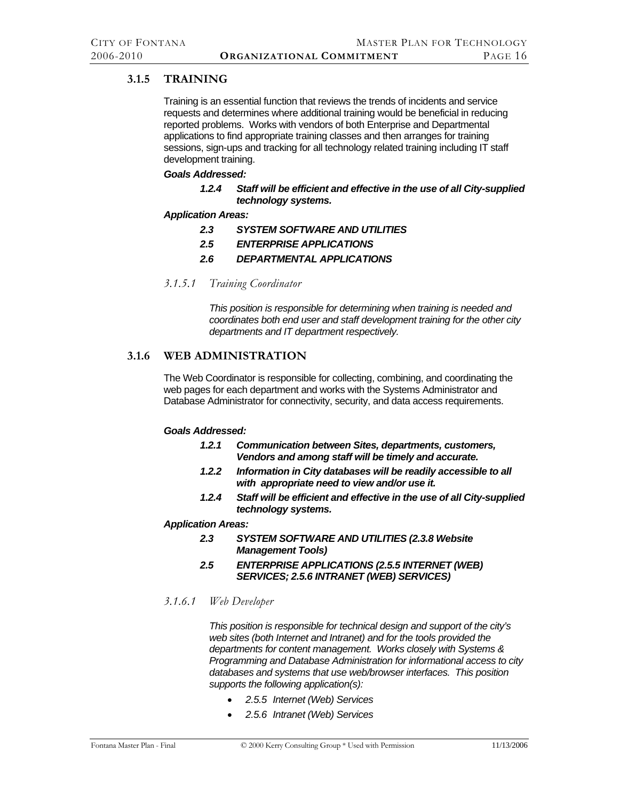# <span id="page-22-0"></span>**3.1.5 TRAINING**

Training is an essential function that reviews the trends of incidents and service requests and determines where additional training would be beneficial in reducing reported problems. Works with vendors of both Enterprise and Departmental applications to find appropriate training classes and then arranges for training sessions, sign-ups and tracking for all technology related training including IT staff development training.

#### *Goals Addressed:*

*1.2.4 Staff will be efficient and effective in the use of all City-supplied technology systems.* 

#### *Application Areas:*

- *2.3 SYSTEM SOFTWARE AND UTILITIES*
- *2.5 ENTERPRISE APPLICATIONS*
- *2.6 DEPARTMENTAL APPLICATIONS*
- *3.1.5.1 Training Coordinator*

*This position is responsible for determining when training is needed and coordinates both end user and staff development training for the other city departments and IT department respectively.* 

# **3.1.6 WEB ADMINISTRATION**

The Web Coordinator is responsible for collecting, combining, and coordinating the web pages for each department and works with the Systems Administrator and Database Administrator for connectivity, security, and data access requirements.

#### *Goals Addressed:*

- *1.2.1 Communication between Sites, departments, customers, Vendors and among staff will be timely and accurate.*
- *1.2.2 Information in City databases will be readily accessible to all with appropriate need to view and/or use it.*
- *1.2.4 Staff will be efficient and effective in the use of all City-supplied technology systems.*

#### *Application Areas:*

- *2.3 SYSTEM SOFTWARE AND UTILITIES (2.3.8 Website Management Tools)*
- *2.5 ENTERPRISE APPLICATIONS (2.5.5 INTERNET (WEB) SERVICES; 2.5.6 INTRANET (WEB) SERVICES)*

#### *3.1.6.1 Web Developer*

*This position is responsible for technical design and support of the city's web sites (both Internet and Intranet) and for the tools provided the departments for content management. Works closely with Systems & Programming and Database Administration for informational access to city databases and systems that use web/browser interfaces. This position supports the following application(s):* 

- *[2.5.5 Internet \(Web\) Services](#page-14-2)*
- *[2.5.6 Intranet \(Web\) Services](#page-14-3)*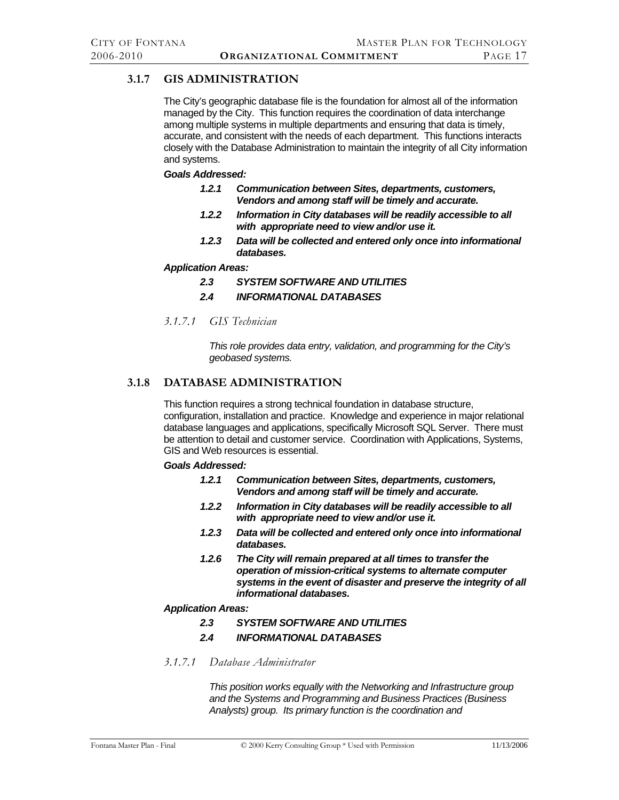# <span id="page-23-0"></span>**3.1.7 GIS ADMINISTRATION**

The City's geographic database file is the foundation for almost all of the information managed by the City. This function requires the coordination of data interchange among multiple systems in multiple departments and ensuring that data is timely, accurate, and consistent with the needs of each department. This functions interacts closely with the Database Administration to maintain the integrity of all City information and systems.

#### *Goals Addressed:*

- *1.2.1 Communication between Sites, departments, customers, Vendors and among staff will be timely and accurate.*
- *1.2.2 Information in City databases will be readily accessible to all with appropriate need to view and/or use it.*
- *1.2.3 Data will be collected and entered only once into informational databases.*

#### *Application Areas:*

- *2.3 SYSTEM SOFTWARE AND UTILITIES*
- *2.4 INFORMATIONAL DATABASES*
- *3.1.7.1 GIS Technician*

*This role provides data entry, validation, and programming for the City's geobased systems.* 

# **3.1.8 DATABASE ADMINISTRATION**

This function requires a strong technical foundation in database structure, configuration, installation and practice. Knowledge and experience in major relational database languages and applications, specifically Microsoft SQL Server. There must be attention to detail and customer service. Coordination with Applications, Systems, GIS and Web resources is essential.

#### *Goals Addressed:*

- *1.2.1 Communication between Sites, departments, customers, Vendors and among staff will be timely and accurate.*
- *1.2.2 Information in City databases will be readily accessible to all with appropriate need to view and/or use it.*
- *1.2.3 Data will be collected and entered only once into informational databases.*
- *1.2.6 The City will remain prepared at all times to transfer the operation of mission-critical systems to alternate computer systems in the event of disaster and preserve the integrity of all informational databases.*

#### *Application Areas:*

- *2.3 SYSTEM SOFTWARE AND UTILITIES*
- *2.4 INFORMATIONAL DATABASES*
- *3.1.7.1 Database Administrator*

*This position works equally with the Networking and Infrastructure group and the Systems and Programming and Business Practices (Business Analysts) group. Its primary function is the coordination and*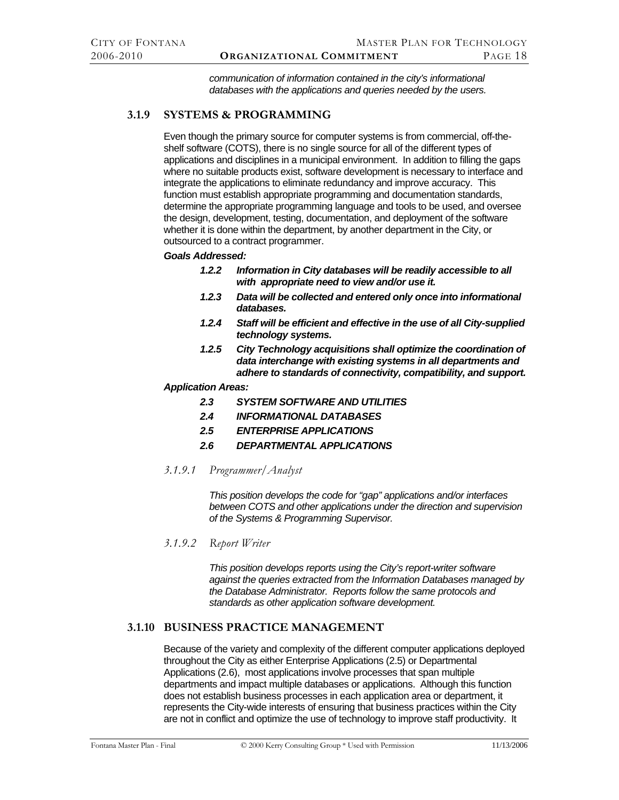*communication of information contained in the city's informational databases with the applications and queries needed by the users.* 

# <span id="page-24-0"></span>**3.1.9 SYSTEMS & PROGRAMMING**

Even though the primary source for computer systems is from commercial, off-theshelf software (COTS), there is no single source for all of the different types of applications and disciplines in a municipal environment. In addition to filling the gaps where no suitable products exist, software development is necessary to interface and integrate the applications to eliminate redundancy and improve accuracy. This function must establish appropriate programming and documentation standards, determine the appropriate programming language and tools to be used, and oversee the design, development, testing, documentation, and deployment of the software whether it is done within the department, by another department in the City, or outsourced to a contract programmer.

# *Goals Addressed:*

- *1.2.2 Information in City databases will be readily accessible to all with appropriate need to view and/or use it.*
- *1.2.3 Data will be collected and entered only once into informational databases.*
- *1.2.4 Staff will be efficient and effective in the use of all City-supplied technology systems.*
- *1.2.5 City Technology acquisitions shall optimize the coordination of data interchange with existing systems in all departments and adhere to standards of connectivity, compatibility, and support.*

#### *Application Areas:*

- *2.3 SYSTEM SOFTWARE AND UTILITIES*
- *2.4 INFORMATIONAL DATABASES*
- *2.5 ENTERPRISE APPLICATIONS*
- *2.6 DEPARTMENTAL APPLICATIONS*
- *3.1.9.1 Programmer/Analyst*

*This position develops the code for "gap" applications and/or interfaces between COTS and other applications under the direction and supervision of the Systems & Programming Supervisor.* 

*3.1.9.2 Report Writer* 

*This position develops reports using the City's report-writer software against the queries extracted from the Information Databases managed by the Database Administrator. Reports follow the same protocols and standards as other application software development.* 

# **3.1.10 BUSINESS PRACTICE MANAGEMENT**

Because of the variety and complexity of the different computer applications deployed throughout the City as either Enterprise Applications (2.5) or Departmental Applications (2.6), most applications involve processes that span multiple departments and impact multiple databases or applications. Although this function does not establish business processes in each application area or department, it represents the City-wide interests of ensuring that business practices within the City are not in conflict and optimize the use of technology to improve staff productivity. It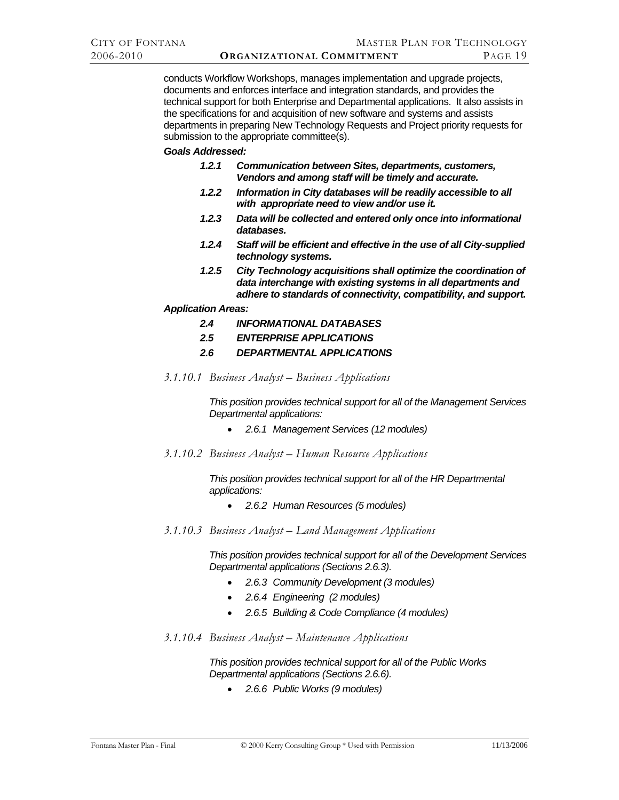conducts Workflow Workshops, manages implementation and upgrade projects, documents and enforces interface and integration standards, and provides the technical support for both Enterprise and Departmental applications. It also assists in the specifications for and acquisition of new software and systems and assists departments in preparing New Technology Requests and Project priority requests for submission to the appropriate committee(s).

#### *Goals Addressed:*

- *1.2.1 Communication between Sites, departments, customers, Vendors and among staff will be timely and accurate.*
- *1.2.2 Information in City databases will be readily accessible to all with appropriate need to view and/or use it.*
- *1.2.3 Data will be collected and entered only once into informational databases.*
- *1.2.4 Staff will be efficient and effective in the use of all City-supplied technology systems.*
- *1.2.5 City Technology acquisitions shall optimize the coordination of data interchange with existing systems in all departments and adhere to standards of connectivity, compatibility, and support.*

#### *Application Areas:*

- *2.4 INFORMATIONAL DATABASES*
- *2.5 ENTERPRISE APPLICATIONS*
- *2.6 DEPARTMENTAL APPLICATIONS*
- *3.1.10.1 Business Analyst Business Applications*

*This position provides technical support for all of the Management Services Departmental applications:* 

- *[2.6.1 Management Services](#page-14-4) (12 modules)*
- *3.1.10.2 Business Analyst Human Resource Applications*

*This position provides technical support for all of the HR Departmental applications:* 

- *[2.6.2 Human Resources](#page-15-1) (5 modules)*
- *3.1.10.3 Business Analyst Land Management Applications*

*This position provides technical support for all of the Development Services Departmental applications (Sections 2.6.3).* 

- *[2.6.3 Community Development](#page-15-2) (3 modules)*
- *[2.6.4 Engineering](#page-15-3) (2 modules)*
- *[2.6.5 Building & Code Compliance](#page-15-4) (4 modules)*
- *3.1.10.4 Business Analyst Maintenance Applications*

*This position provides technical support for all of the Public Works Departmental applications (Sections 2.6.6).* 

• *[2.6.6 Public Works](#page-15-5) (9 modules)*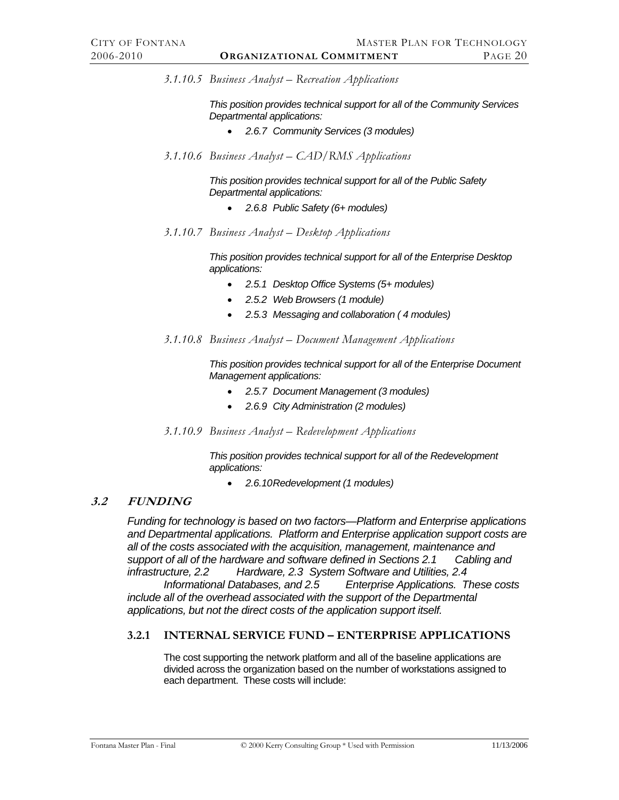<span id="page-26-0"></span>*3.1.10.5 Business Analyst – Recreation Applications* 

*This position provides technical support for all of the Community Services Departmental applications:* 

- *[2.6.7 Community Services](#page-16-1) (3 modules)*
- *3.1.10.6 Business Analyst CAD/RMS Applications*

*This position provides technical support for all of the Public Safety Departmental applications:* 

- *[2.6.8 Public Safety](#page-16-2) (6+ modules)*
- *3.1.10.7 Business Analyst Desktop Applications*

*This position provides technical support for all of the Enterprise Desktop applications:* 

- *[2.5.1 Desktop Office Systems](#page-14-5) (5+ modules)*
- *[2.5.2 Web Browsers](#page-14-6) (1 module)*
- *[2.5.3 Messaging and collaboration](#page-14-7) ( 4 modules)*
- *3.1.10.8 Business Analyst Document Management Applications*

*This position provides technical support for all of the Enterprise Document Management applications:* 

- *[2.5.7 Document Management](#page-14-8) (3 modules)*
- *[2.6.9 City Administration](#page-16-3) (2 modules)*
- *3.1.10.9 Business Analyst Redevelopment Applications*

*This position provides technical support for all of the Redevelopment applications:* 

• *[2.6.10 Redevelopment](#page-16-4) (1 modules)* 

#### **3.2 FUNDING**

*Funding for technology is based on two factors—Platform and Enterprise applications and Departmental applications. Platform and Enterprise application support costs are all of the costs associated with the acquisition, management, maintenance and support of all of the hardware and software defined in Sections [2.1 Cabling and](#page-10-1)  [infrastructure,](#page-10-1) [2.2 Hardware,](#page-11-1) [2.3 System Software and Utilities,](#page-11-2) [2.4](#page-13-1)*

 *[Informational Databases,](#page-13-1) and [2.5 Enterprise Applications.](#page-13-2) These costs include all of the overhead associated with the support of the Departmental applications, but not the direct costs of the application support itself.* 

#### **3.2.1 INTERNAL SERVICE FUND – ENTERPRISE APPLICATIONS**

The cost supporting the network platform and all of the baseline applications are divided across the organization based on the number of workstations assigned to each department. These costs will include: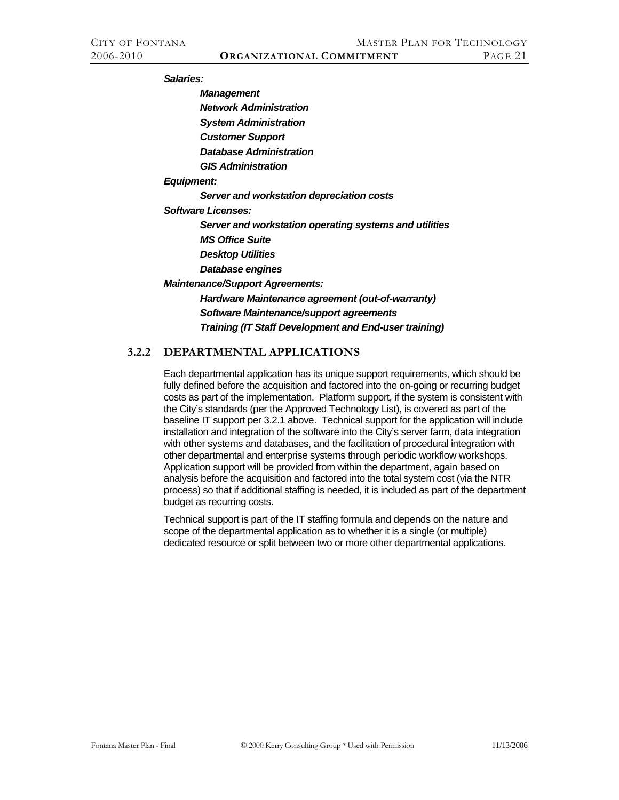<span id="page-27-0"></span>*Salaries:* 

*Management Network Administration* 

*System Administration* 

*Customer Support* 

*Database Administration* 

*GIS Administration* 

*Equipment:* 

*Server and workstation depreciation costs* 

*Software Licenses:* 

*Server and workstation operating systems and utilities* 

*MS Office Suite* 

*Desktop Utilities* 

*Database engines* 

*Maintenance/Support Agreements:* 

*Hardware Maintenance agreement (out-of-warranty) Software Maintenance/support agreements Training (IT Staff Development and End-user training)* 

# **3.2.2 DEPARTMENTAL APPLICATIONS**

Each departmental application has its unique support requirements, which should be fully defined before the acquisition and factored into the on-going or recurring budget costs as part of the implementation. Platform support, if the system is consistent with the City's standards (per the Approved Technology List), is covered as part of the baseline IT support per 3.2.1 above. Technical support for the application will include installation and integration of the software into the City's server farm, data integration with other systems and databases, and the facilitation of procedural integration with other departmental and enterprise systems through periodic workflow workshops. Application support will be provided from within the department, again based on analysis before the acquisition and factored into the total system cost (via the NTR process) so that if additional staffing is needed, it is included as part of the department budget as recurring costs.

Technical support is part of the IT staffing formula and depends on the nature and scope of the departmental application as to whether it is a single (or multiple) dedicated resource or split between two or more other departmental applications.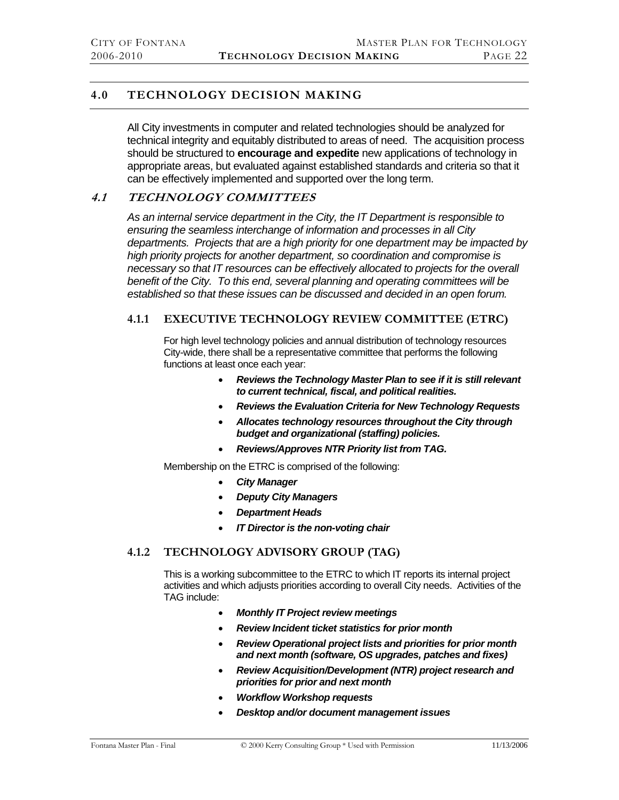# <span id="page-28-0"></span>**4.0 TECHNOLOGY DECISION MAKING**

All City investments in computer and related technologies should be analyzed for technical integrity and equitably distributed to areas of need. The acquisition process should be structured to **encourage and expedite** new applications of technology in appropriate areas, but evaluated against established standards and criteria so that it can be effectively implemented and supported over the long term.

# **4.1 TECHNOLOGY COMMITTEES**

*As an internal service department in the City, the IT Department is responsible to ensuring the seamless interchange of information and processes in all City departments. Projects that are a high priority for one department may be impacted by high priority projects for another department, so coordination and compromise is necessary so that IT resources can be effectively allocated to projects for the overall benefit of the City. To this end, several planning and operating committees will be established so that these issues can be discussed and decided in an open forum.* 

# **4.1.1 EXECUTIVE TECHNOLOGY REVIEW COMMITTEE (ETRC)**

For high level technology policies and annual distribution of technology resources City-wide, there shall be a representative committee that performs the following functions at least once each year:

- *Reviews the Technology Master Plan to see if it is still relevant to current technical, fiscal, and political realities.*
- *Reviews the Evaluation Criteria for New Technology Requests*
- *Allocates technology resources throughout the City through budget and organizational (staffing) policies.*
- *Reviews/Approves NTR Priority list from TAG.*

Membership on the ETRC is comprised of the following:

- *City Manager*
- *Deputy City Managers*
- *Department Heads*
- *IT Director is the non-voting chair*

# **4.1.2 TECHNOLOGY ADVISORY GROUP (TAG)**

This is a working subcommittee to the ETRC to which IT reports its internal project activities and which adjusts priorities according to overall City needs. Activities of the TAG include:

- *Monthly IT Project review meetings*
- *Review Incident ticket statistics for prior month*
- *Review Operational project lists and priorities for prior month and next month (software, OS upgrades, patches and fixes)*
- *Review Acquisition/Development (NTR) project research and priorities for prior and next month*
- *Workflow Workshop requests*
- *Desktop and/or document management issues*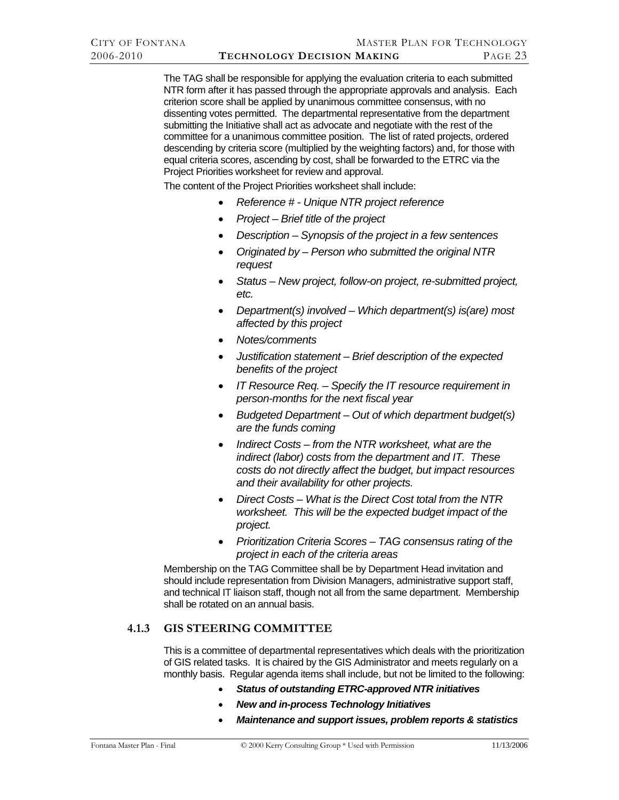<span id="page-29-0"></span>The TAG shall be responsible for applying the evaluation criteria to each submitted NTR form after it has passed through the appropriate approvals and analysis. Each criterion score shall be applied by unanimous committee consensus, with no dissenting votes permitted. The departmental representative from the department submitting the Initiative shall act as advocate and negotiate with the rest of the committee for a unanimous committee position. The list of rated projects, ordered descending by criteria score (multiplied by the weighting factors) and, for those with equal criteria scores, ascending by cost, shall be forwarded to the ETRC via the Project Priorities worksheet for review and approval.

The content of the Project Priorities worksheet shall include:

- *Reference # Unique NTR project reference*
- *Project Brief title of the project*
- *Description Synopsis of the project in a few sentences*
- *Originated by Person who submitted the original NTR request*
- *Status New project, follow-on project, re-submitted project, etc.*
- *Department(s) involved Which department(s) is(are) most affected by this project*
- *Notes/comments*
- *Justification statement Brief description of the expected benefits of the project*
- *IT Resource Req. Specify the IT resource requirement in person-months for the next fiscal year*
- *Budgeted Department Out of which department budget(s) are the funds coming*
- *Indirect Costs from the NTR worksheet, what are the indirect (labor) costs from the department and IT. These costs do not directly affect the budget, but impact resources and their availability for other projects.*
- *Direct Costs What is the Direct Cost total from the NTR worksheet. This will be the expected budget impact of the project.*
- *Prioritization Criteria Scores TAG consensus rating of the project in each of the criteria areas*

Membership on the TAG Committee shall be by Department Head invitation and should include representation from Division Managers, administrative support staff, and technical IT liaison staff, though not all from the same department. Membership shall be rotated on an annual basis.

# **4.1.3 GIS STEERING COMMITTEE**

This is a committee of departmental representatives which deals with the prioritization of GIS related tasks. It is chaired by the GIS Administrator and meets regularly on a monthly basis. Regular agenda items shall include, but not be limited to the following:

- *Status of outstanding ETRC-approved NTR initiatives*
- *New and in-process Technology Initiatives*
- *Maintenance and support issues, problem reports & statistics*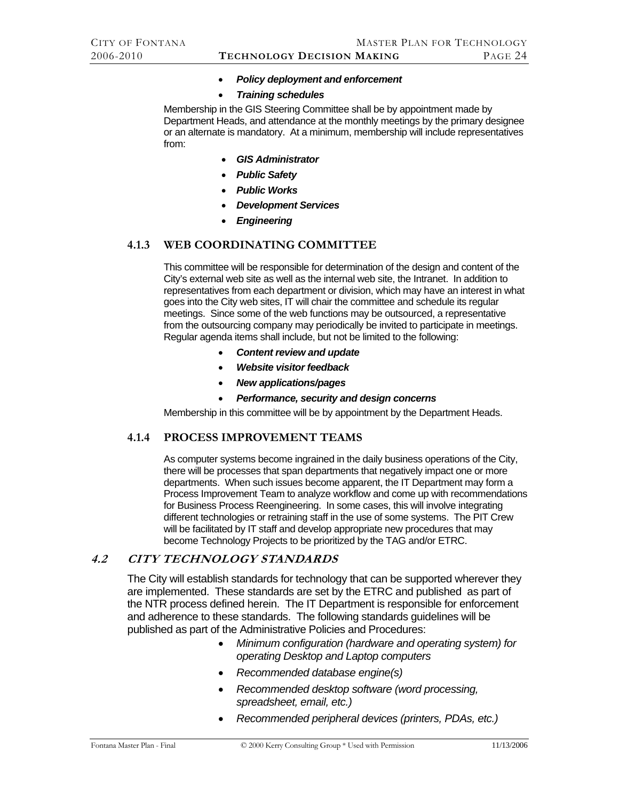#### • *Policy deployment and enforcement*

• *Training schedules* 

<span id="page-30-0"></span>Membership in the GIS Steering Committee shall be by appointment made by Department Heads, and attendance at the monthly meetings by the primary designee or an alternate is mandatory. At a minimum, membership will include representatives from:

- *GIS Administrator*
- *Public Safety*
- *Public Works*
- *Development Services*
- *Engineering*

# **4.1.3 WEB COORDINATING COMMITTEE**

This committee will be responsible for determination of the design and content of the City's external web site as well as the internal web site, the Intranet. In addition to representatives from each department or division, which may have an interest in what goes into the City web sites, IT will chair the committee and schedule its regular meetings. Since some of the web functions may be outsourced, a representative from the outsourcing company may periodically be invited to participate in meetings. Regular agenda items shall include, but not be limited to the following:

- *Content review and update*
- *Website visitor feedback*
- *New applications/pages*
- *Performance, security and design concerns*

Membership in this committee will be by appointment by the Department Heads.

#### **4.1.4 PROCESS IMPROVEMENT TEAMS**

As computer systems become ingrained in the daily business operations of the City, there will be processes that span departments that negatively impact one or more departments. When such issues become apparent, the IT Department may form a Process Improvement Team to analyze workflow and come up with recommendations for Business Process Reengineering. In some cases, this will involve integrating different technologies or retraining staff in the use of some systems. The PIT Crew will be facilitated by IT staff and develop appropriate new procedures that may become Technology Projects to be prioritized by the TAG and/or ETRC.

#### **4.2 CITY TECHNOLOGY STANDARDS**

The City will establish standards for technology that can be supported wherever they are implemented. These standards are set by the ETRC and published as part of the NTR process defined herein. The IT Department is responsible for enforcement and adherence to these standards. The following standards guidelines will be published as part of the Administrative Policies and Procedures:

- *Minimum configuration (hardware and operating system) for operating Desktop and Laptop computers*
- *Recommended database engine(s)*
- *Recommended desktop software (word processing, spreadsheet, email, etc.)*
- *Recommended peripheral devices (printers, PDAs, etc.)*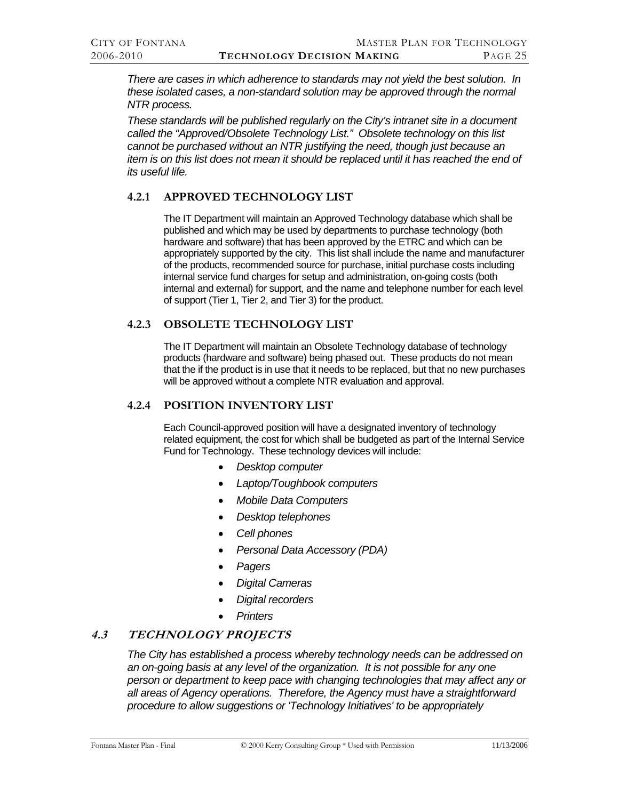<span id="page-31-0"></span>*There are cases in which adherence to standards may not yield the best solution. In these isolated cases, a non-standard solution may be approved through the normal NTR process.* 

*These standards will be published regularly on the City's intranet site in a document called the "Approved/Obsolete Technology List." Obsolete technology on this list cannot be purchased without an NTR justifying the need, though just because an item is on this list does not mean it should be replaced until it has reached the end of its useful life.* 

# **4.2.1 APPROVED TECHNOLOGY LIST**

The IT Department will maintain an Approved Technology database which shall be published and which may be used by departments to purchase technology (both hardware and software) that has been approved by the ETRC and which can be appropriately supported by the city. This list shall include the name and manufacturer of the products, recommended source for purchase, initial purchase costs including internal service fund charges for setup and administration, on-going costs (both internal and external) for support, and the name and telephone number for each level of support (Tier 1, Tier 2, and Tier 3) for the product.

# **4.2.3 OBSOLETE TECHNOLOGY LIST**

The IT Department will maintain an Obsolete Technology database of technology products (hardware and software) being phased out. These products do not mean that the if the product is in use that it needs to be replaced, but that no new purchases will be approved without a complete NTR evaluation and approval.

# **4.2.4 POSITION INVENTORY LIST**

Each Council-approved position will have a designated inventory of technology related equipment, the cost for which shall be budgeted as part of the Internal Service Fund for Technology. These technology devices will include:

- *Desktop computer*
- *Laptop/Toughbook computers*
- *Mobile Data Computers*
- *Desktop telephones*
- *Cell phones*
- *Personal Data Accessory (PDA)*
- *Pagers*
- *Digital Cameras*
- *Digital recorders*
- *Printers*

# **4.3 TECHNOLOGY PROJECTS**

*The City has established a process whereby technology needs can be addressed on an on-going basis at any level of the organization. It is not possible for any one person or department to keep pace with changing technologies that may affect any or all areas of Agency operations. Therefore, the Agency must have a straightforward procedure to allow suggestions or 'Technology Initiatives' to be appropriately*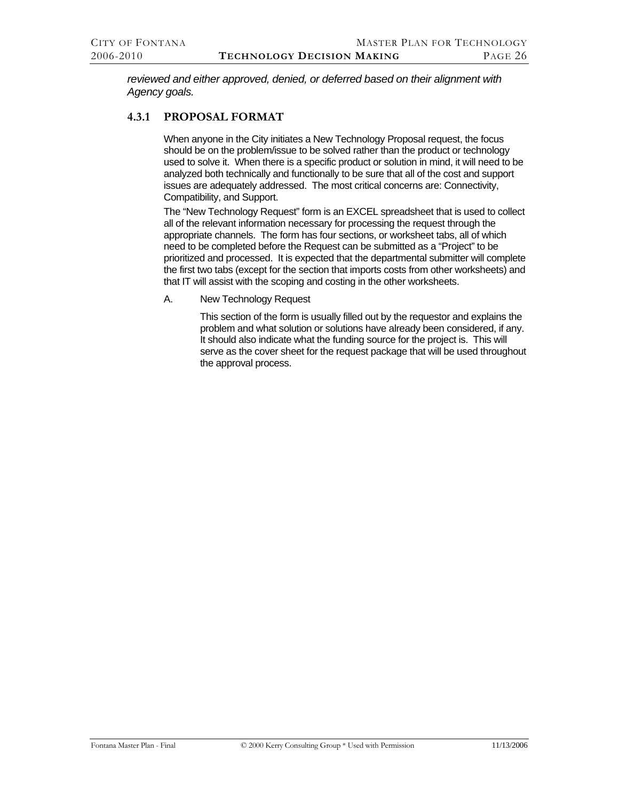<span id="page-32-0"></span>*reviewed and either approved, denied, or deferred based on their alignment with Agency goals.* 

# **4.3.1 PROPOSAL FORMAT**

When anyone in the City initiates a New Technology Proposal request, the focus should be on the problem/issue to be solved rather than the product or technology used to solve it. When there is a specific product or solution in mind, it will need to be analyzed both technically and functionally to be sure that all of the cost and support issues are adequately addressed. The most critical concerns are: Connectivity, Compatibility, and Support.

The "New Technology Request" form is an EXCEL spreadsheet that is used to collect all of the relevant information necessary for processing the request through the appropriate channels. The form has four sections, or worksheet tabs, all of which need to be completed before the Request can be submitted as a "Project" to be prioritized and processed. It is expected that the departmental submitter will complete the first two tabs (except for the section that imports costs from other worksheets) and that IT will assist with the scoping and costing in the other worksheets.

A. New Technology Request

 This section of the form is usually filled out by the requestor and explains the problem and what solution or solutions have already been considered, if any. It should also indicate what the funding source for the project is. This will serve as the cover sheet for the request package that will be used throughout the approval process.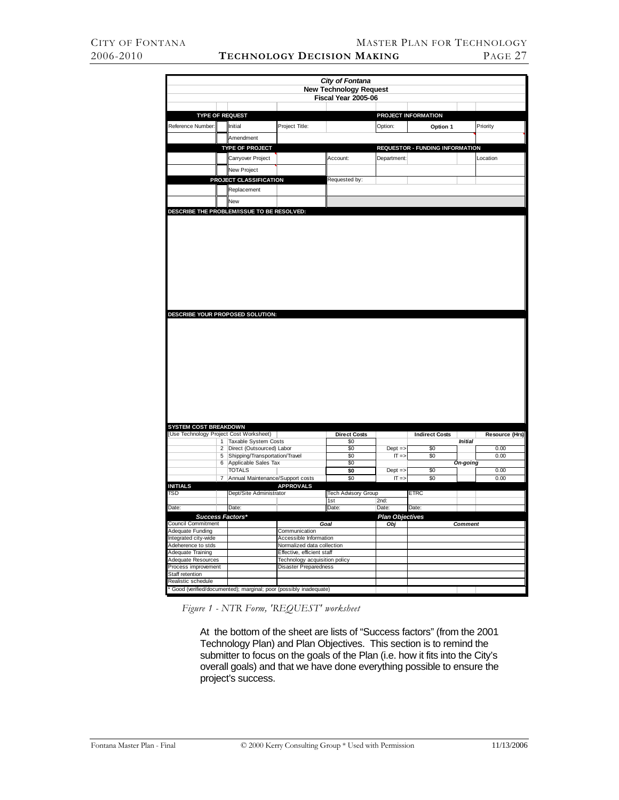|                                                                        |        |                                                        |                                                                    | City of Fontana                   |                        |                                        |                |                |
|------------------------------------------------------------------------|--------|--------------------------------------------------------|--------------------------------------------------------------------|-----------------------------------|------------------------|----------------------------------------|----------------|----------------|
|                                                                        |        |                                                        |                                                                    | <b>New Technology Request</b>     |                        |                                        |                |                |
|                                                                        |        |                                                        |                                                                    | Fiscal Year 2005-06               |                        |                                        |                |                |
|                                                                        |        |                                                        |                                                                    |                                   |                        |                                        |                |                |
|                                                                        |        | <b>TYPE OF REQUEST</b>                                 |                                                                    |                                   |                        | PROJECT INFORMATION                    |                |                |
| Reference Number:                                                      |        | Initial                                                | Project Title:                                                     |                                   | Option:                | Option 1                               |                | Priority       |
|                                                                        |        | Amendment                                              |                                                                    |                                   |                        |                                        |                |                |
|                                                                        |        | <b>TYPE OF PROJECT</b>                                 |                                                                    |                                   |                        | <b>REQUESTOR - FUNDING INFORMATION</b> |                |                |
|                                                                        |        | Carryover Project                                      |                                                                    | Account:                          | Department:            |                                        |                | Location       |
|                                                                        |        |                                                        |                                                                    |                                   |                        |                                        |                |                |
|                                                                        |        | New Project                                            |                                                                    |                                   |                        |                                        |                |                |
|                                                                        |        | PROJECT CLASSIFICATION                                 |                                                                    | Requested by:                     |                        |                                        |                |                |
|                                                                        |        | Replacement                                            |                                                                    |                                   |                        |                                        |                |                |
|                                                                        |        | New                                                    |                                                                    |                                   |                        |                                        |                |                |
|                                                                        |        | DESCRIBE THE PROBLEM/ISSUE TO BE RESOLVED:             |                                                                    |                                   |                        |                                        |                |                |
|                                                                        |        | DESCRIBE YOUR PROPOSED SOLUTION:                       |                                                                    |                                   |                        |                                        |                |                |
| <b>SYSTEM COST BREAKDOWN</b><br>Use Technology Project Cost Worksheet) |        |                                                        |                                                                    | <b>Direct Costs</b>               |                        | <b>Indirect Costs</b>                  |                | Resource (Hrs) |
|                                                                        |        | 1 Taxable System Costs                                 |                                                                    | \$0                               |                        |                                        | <b>Initial</b> |                |
|                                                                        | 2      | Direct (Outsourced) Labor                              |                                                                    | \$0                               | $Dept =$               | \$0                                    |                | 0.00           |
|                                                                        | 5<br>6 | Shipping/Transportation/Travel<br>Applicable Sales Tax |                                                                    | \$0<br>\$0                        | $IT \Rightarrow$       | \$0                                    | On-going       | 0.00           |
|                                                                        |        | <b>TOTALS</b>                                          |                                                                    | \$0                               | $Dept =$               | \$0                                    |                | 0.00           |
|                                                                        | 7      | Annual Maintenance/Support costs                       |                                                                    | \$0                               | $IT \Rightarrow$       | \$0                                    |                | 0.00           |
| <b>INITIALS</b>                                                        |        |                                                        | <b>APPROVALS</b>                                                   |                                   |                        |                                        |                |                |
| TSD                                                                    |        | Dept/Site Administrator                                |                                                                    | <b>Tech Advisory Group</b><br>1st | 2nd:                   | <b>ETRC</b>                            |                |                |
| Date:                                                                  |        | Date:                                                  |                                                                    | Date:                             | Date:                  | Date:                                  |                |                |
|                                                                        |        | Success Factors*                                       |                                                                    |                                   | <b>Plan Objectives</b> |                                        |                |                |
| <b>Council Commitment</b>                                              |        |                                                        |                                                                    | Goal                              | Obi                    |                                        | <b>Comment</b> |                |
| Adequate Funding                                                       |        |                                                        | Communication                                                      |                                   |                        |                                        |                |                |
| Integrated city-wide<br>Adeherence to stds                             |        |                                                        | Accessible Information<br>Normalized data collection               |                                   |                        |                                        |                |                |
| Adequate Training                                                      |        |                                                        | Effective, efficient staff                                         |                                   |                        |                                        |                |                |
| Adequate Resources                                                     |        |                                                        | Technology acquisition policy                                      |                                   |                        |                                        |                |                |
| Process improvement                                                    |        |                                                        | Disaster Preparedness                                              |                                   |                        |                                        |                |                |
| Staff retention                                                        |        |                                                        |                                                                    |                                   |                        |                                        |                |                |
| Realistic schedule                                                     |        |                                                        |                                                                    |                                   |                        |                                        |                |                |
|                                                                        |        |                                                        | * Good (verified/documented); marginal; poor (possibly inadequate) |                                   |                        |                                        |                |                |

*Figure 1 - NTR Form, 'REQUEST' worksheet* 

 At the bottom of the sheet are lists of "Success factors" (from the 2001 Technology Plan) and Plan Objectives. This section is to remind the submitter to focus on the goals of the Plan (i.e. how it fits into the City's overall goals) and that we have done everything possible to ensure the project's success.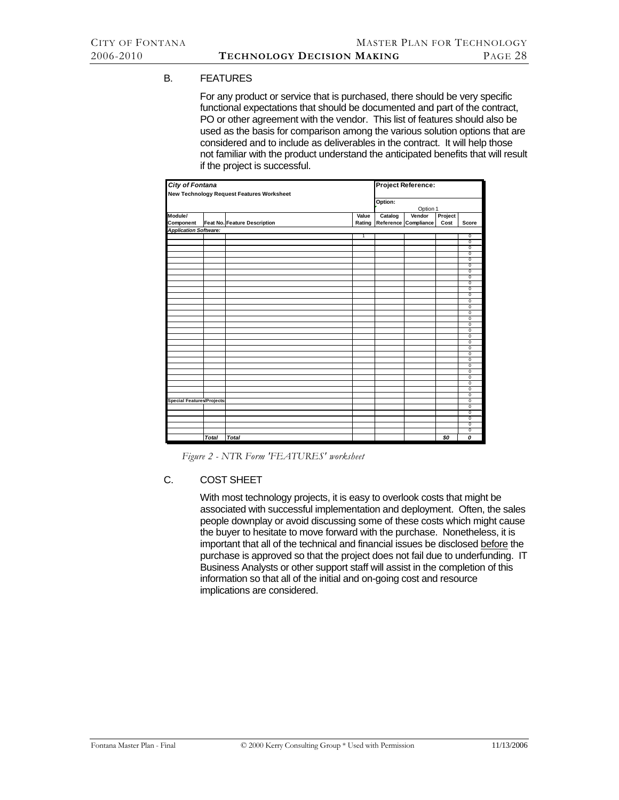#### B. FEATURES

 For any product or service that is purchased, there should be very specific functional expectations that should be documented and part of the contract, PO or other agreement with the vendor. This list of features should also be used as the basis for comparison among the various solution options that are considered and to include as deliverables in the contract. It will help those not familiar with the product understand the anticipated benefits that will result if the project is successful.

| City of Fontana                   |              |                                           |              | <b>Project Reference:</b> |                      |         |                               |  |  |
|-----------------------------------|--------------|-------------------------------------------|--------------|---------------------------|----------------------|---------|-------------------------------|--|--|
|                                   |              | New Technology Request Features Worksheet |              |                           |                      |         |                               |  |  |
|                                   |              |                                           |              | Option:                   |                      |         |                               |  |  |
|                                   |              |                                           |              | Option 1                  |                      |         |                               |  |  |
| Module/                           |              |                                           | Value        | Catalog                   | Vendor               | Project |                               |  |  |
| Component                         |              | Feat No. Feature Description              | Rating       |                           | Reference Compliance | Cost    | Score                         |  |  |
| <b>Application Software:</b>      |              |                                           |              |                           |                      |         |                               |  |  |
|                                   |              |                                           | $\mathbf{1}$ |                           |                      |         | $\mathbf 0$                   |  |  |
|                                   |              |                                           |              |                           |                      |         | $\overline{0}$                |  |  |
|                                   |              |                                           |              |                           |                      |         | $\overline{0}$                |  |  |
|                                   |              |                                           |              |                           |                      |         | $\overline{0}$                |  |  |
|                                   |              |                                           |              |                           |                      |         | $\overline{0}$                |  |  |
|                                   |              |                                           |              |                           |                      |         | $\overline{0}$                |  |  |
|                                   |              |                                           |              |                           |                      |         | $\pmb{0}$                     |  |  |
|                                   |              |                                           |              |                           |                      |         | $\overline{0}$                |  |  |
|                                   |              |                                           |              |                           |                      |         | $\overline{0}$                |  |  |
|                                   |              |                                           |              |                           |                      |         | $\overline{0}$                |  |  |
|                                   |              |                                           |              |                           |                      |         | $\mathbf 0$                   |  |  |
|                                   |              |                                           |              |                           |                      |         | $\overline{\mathfrak{o}}$     |  |  |
|                                   |              |                                           |              |                           |                      |         | $\mathbf 0$<br>$\overline{0}$ |  |  |
|                                   |              |                                           |              |                           |                      |         | $\mathbf 0$                   |  |  |
|                                   |              |                                           |              |                           |                      |         | $\overline{0}$                |  |  |
|                                   |              |                                           |              |                           |                      |         | 0                             |  |  |
|                                   |              |                                           |              |                           |                      |         | $\mathbf 0$                   |  |  |
|                                   |              |                                           |              |                           |                      |         | $\overline{0}$                |  |  |
|                                   |              |                                           |              |                           |                      |         | $\mathbf 0$                   |  |  |
|                                   |              |                                           |              |                           |                      |         | 0                             |  |  |
|                                   |              |                                           |              |                           |                      |         | $\overline{0}$                |  |  |
|                                   |              |                                           |              |                           |                      |         | $\overline{0}$                |  |  |
|                                   |              |                                           |              |                           |                      |         | $\mathbf 0$                   |  |  |
|                                   |              |                                           |              |                           |                      |         | $\overline{0}$                |  |  |
|                                   |              |                                           |              |                           |                      |         | $\overline{0}$                |  |  |
|                                   |              |                                           |              |                           |                      |         | $\overline{0}$                |  |  |
|                                   |              |                                           |              |                           |                      |         | $\mathbf 0$                   |  |  |
| <b>Special Features/Projects:</b> |              |                                           |              |                           |                      |         | $\overline{0}$                |  |  |
|                                   |              |                                           |              |                           |                      |         | $\overline{0}$                |  |  |
|                                   |              |                                           |              |                           |                      |         | $\overline{0}$                |  |  |
|                                   |              |                                           |              |                           |                      |         | $\overline{0}$                |  |  |
|                                   |              |                                           |              |                           |                      |         | $\mathbf 0$                   |  |  |
|                                   |              |                                           |              |                           |                      |         | $\overline{0}$                |  |  |
|                                   | <b>Total</b> | <b>Total</b>                              |              |                           |                      | \$0     | 0                             |  |  |

*Figure 2 - NTR Form 'FEATURES' worksheet* 

#### C. COST SHEET

 With most technology projects, it is easy to overlook costs that might be associated with successful implementation and deployment. Often, the sales people downplay or avoid discussing some of these costs which might cause the buyer to hesitate to move forward with the purchase. Nonetheless, it is important that all of the technical and financial issues be disclosed before the purchase is approved so that the project does not fail due to underfunding. IT Business Analysts or other support staff will assist in the completion of this information so that all of the initial and on-going cost and resource implications are considered.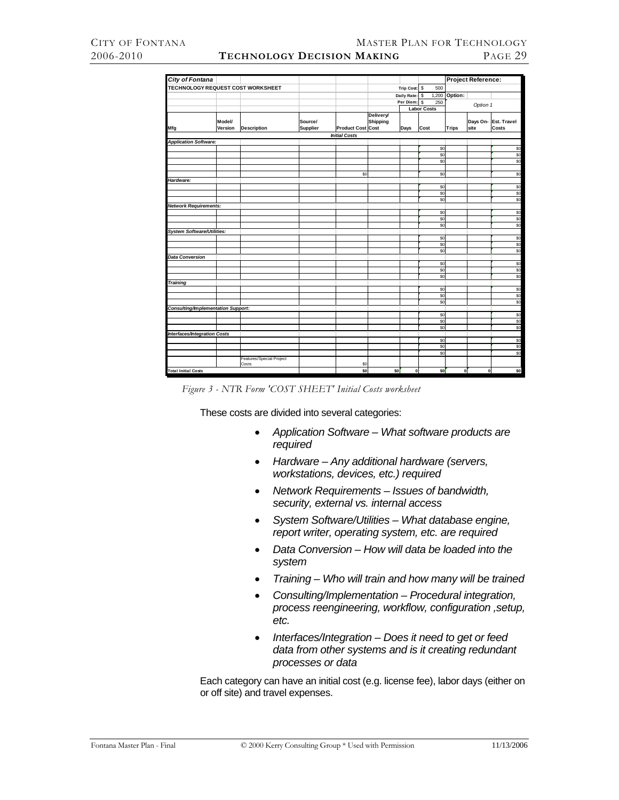| City of Fontana                           |         |                          |                 |                          |                       |                    |      |            |              | Project Reference: |             |
|-------------------------------------------|---------|--------------------------|-----------------|--------------------------|-----------------------|--------------------|------|------------|--------------|--------------------|-------------|
| TECHNOLOGY REQUEST COST WORKSHEET         |         |                          |                 |                          |                       | Trip Cost: \$      |      | 500        |              |                    |             |
|                                           |         |                          |                 |                          |                       | Daily Rate: \$     |      | 1,200      | Option:      |                    |             |
|                                           |         |                          |                 |                          |                       | Per Diem: \$       |      | 250        |              | Option 1           |             |
|                                           |         |                          |                 |                          |                       | <b>Labor Costs</b> |      |            |              |                    |             |
|                                           | Model/  |                          | Source/         |                          | Delivery/<br>Shipping |                    |      |            |              | Days On-           | Est. Travel |
| Mfg                                       | Version | <b>Description</b>       | <b>Supplier</b> | <b>Product Cost Cost</b> |                       | Days               | Cost |            | <b>Trips</b> | site               | Costs       |
|                                           |         |                          |                 | <b>Initial Costs</b>     |                       |                    |      |            |              |                    |             |
| <b>Application Software:</b>              |         |                          |                 |                          |                       |                    |      |            |              |                    |             |
|                                           |         |                          |                 |                          |                       |                    |      | \$0<br>\$0 |              |                    | \$0<br>\$0  |
|                                           |         |                          |                 |                          |                       |                    |      | \$0        |              |                    | \$0         |
|                                           |         |                          |                 |                          |                       |                    |      |            |              |                    |             |
|                                           |         |                          |                 | \$0                      |                       |                    |      | \$0        |              |                    | \$0         |
| Hardware:                                 |         |                          |                 |                          |                       |                    |      |            |              |                    |             |
|                                           |         |                          |                 |                          |                       |                    |      | \$0        |              |                    | \$0         |
|                                           |         |                          |                 |                          |                       |                    |      | \$0        |              |                    | \$          |
|                                           |         |                          |                 |                          |                       |                    |      | \$0        |              |                    | \$0         |
| <b>Network Requirements:</b>              |         |                          |                 |                          |                       |                    |      |            |              |                    |             |
|                                           |         |                          |                 |                          |                       |                    |      | \$0        |              |                    | \$0         |
|                                           |         |                          |                 |                          |                       |                    |      | \$0        |              |                    | \$0         |
|                                           |         |                          |                 |                          |                       |                    |      | \$0        |              |                    | \$0         |
| <b>System Software/Utilities:</b>         |         |                          |                 |                          |                       |                    |      |            |              |                    |             |
|                                           |         |                          |                 |                          |                       |                    |      | \$0        |              |                    | \$0         |
|                                           |         |                          |                 |                          |                       |                    |      | \$0        |              |                    | \$0         |
|                                           |         |                          |                 |                          |                       |                    |      | \$0        |              |                    | \$0         |
| <b>Data Conversion</b>                    |         |                          |                 |                          |                       |                    |      |            |              |                    |             |
|                                           |         |                          |                 |                          |                       |                    |      | \$0        |              |                    | \$0         |
|                                           |         |                          |                 |                          |                       |                    |      | \$0        |              |                    | \$0         |
|                                           |         |                          |                 |                          |                       |                    |      | \$0        |              |                    | \$0         |
| <b>Training</b>                           |         |                          |                 |                          |                       |                    |      |            |              |                    |             |
|                                           |         |                          |                 |                          |                       |                    |      | \$0        |              |                    | \$0         |
|                                           |         |                          |                 |                          |                       |                    |      | \$0        |              |                    | \$0         |
|                                           |         |                          |                 |                          |                       |                    |      | \$0        |              |                    | \$0         |
| <b>Consulting/Implementation Support:</b> |         |                          |                 |                          |                       |                    |      |            |              |                    |             |
|                                           |         |                          |                 |                          |                       |                    |      | \$0        |              |                    | \$0         |
|                                           |         |                          |                 |                          |                       |                    |      | \$0        |              |                    | \$0         |
|                                           |         |                          |                 |                          |                       |                    |      | \$0        |              |                    | \$0         |
| <b>Interfaces/Integration Costs</b>       |         |                          |                 |                          |                       |                    |      |            |              |                    |             |
|                                           |         |                          |                 |                          |                       |                    |      | \$0<br>\$0 |              |                    | \$0<br>\$0  |
|                                           |         |                          |                 |                          |                       |                    |      | \$0        |              |                    | \$0         |
|                                           |         | Features/Special Project |                 |                          |                       |                    |      |            |              |                    |             |
|                                           |         | Costs                    |                 | \$0                      |                       |                    |      |            |              |                    |             |
| <b>Total Initial Costs</b>                |         |                          |                 | \$0                      | \$0                   | $\mathbf{0}$       |      | \$0        | o            | $\mathbf{o}$       | \$0         |

*Figure 3 - NTR Form 'COST SHEET' Initial Costs worksheet* 

These costs are divided into several categories:

- *Application Software What software products are required*
- *Hardware Any additional hardware (servers, workstations, devices, etc.) required*
- *Network Requirements Issues of bandwidth, security, external vs. internal access*
- *System Software/Utilities What database engine, report writer, operating system, etc. are required*
- *Data Conversion How will data be loaded into the system*
- *Training Who will train and how many will be trained*
- *Consulting/Implementation Procedural integration, process reengineering, workflow, configuration ,setup, etc.*
- *Interfaces/Integration Does it need to get or feed data from other systems and is it creating redundant processes or data*

 Each category can have an initial cost (e.g. license fee), labor days (either on or off site) and travel expenses.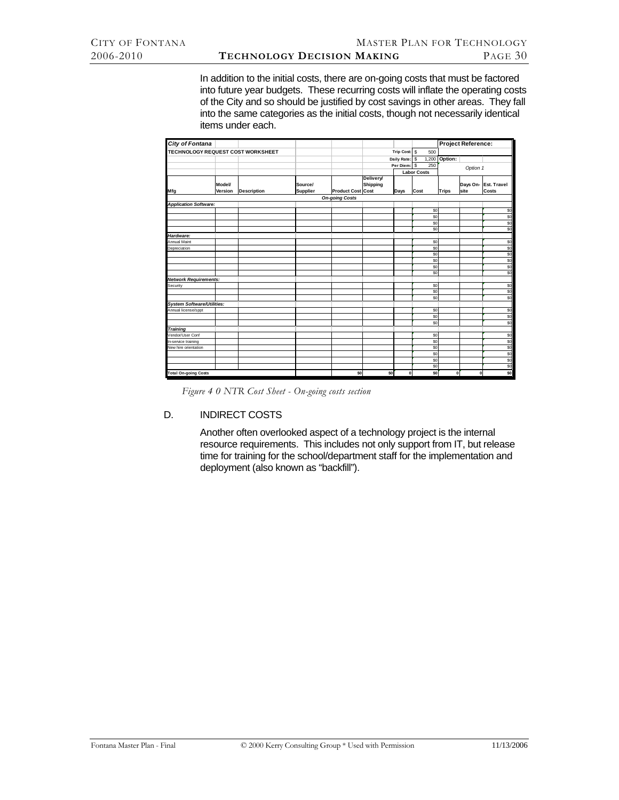In addition to the initial costs, there are on-going costs that must be factored into future year budgets. These recurring costs will inflate the operating costs of the City and so should be justified by cost savings in other areas. They fall into the same categories as the initial costs, though not necessarily identical items under each.

| I<br><b>City of Fontana</b>         |         |                    |                 |                          |                  |                |                    |              | Project Reference: |             |
|-------------------------------------|---------|--------------------|-----------------|--------------------------|------------------|----------------|--------------------|--------------|--------------------|-------------|
| TECHNOLOGY REQUEST COST WORKSHEET   |         |                    |                 |                          |                  | Trip Cost: \$  | 500                |              |                    |             |
|                                     |         |                    |                 |                          |                  | Daily Rate: \$ | 1,200              | Option:      |                    |             |
|                                     |         |                    |                 |                          |                  | Per Diem: \$   | 250                |              | Option 1           |             |
|                                     |         |                    |                 |                          |                  |                | <b>Labor Costs</b> |              |                    |             |
|                                     |         |                    |                 |                          | <b>Delivery/</b> |                |                    |              |                    |             |
|                                     | Model/  |                    | Source/         |                          | Shipping         |                |                    |              | Days On-           | Est. Travel |
| Mfg                                 | Version | <b>Description</b> | <b>Supplier</b> | <b>Product Cost Cost</b> |                  | Days           | Cost               | <b>Trips</b> | site               | Costs       |
|                                     |         |                    |                 | <b>On-going Costs</b>    |                  |                |                    |              |                    |             |
| <b>Application Software:</b>        |         |                    |                 |                          |                  |                |                    |              |                    |             |
|                                     |         |                    |                 |                          |                  |                | \$0                |              |                    | \$0         |
|                                     |         |                    |                 |                          |                  |                | \$0                |              |                    | \$0         |
|                                     |         |                    |                 |                          |                  |                | \$0                |              |                    | \$0         |
|                                     |         |                    |                 |                          |                  |                | \$0                |              |                    | \$0         |
| Hardware:                           |         |                    |                 |                          |                  |                |                    |              |                    |             |
| Annual Maint                        |         |                    |                 |                          |                  |                | \$0                |              |                    | \$0         |
| Depreciation                        |         |                    |                 |                          |                  |                | \$0                |              |                    | \$0         |
|                                     |         |                    |                 |                          |                  |                | \$0                |              |                    | \$0         |
|                                     |         |                    |                 |                          |                  |                | \$0                |              |                    | \$0         |
|                                     |         |                    |                 |                          |                  |                | \$0                |              |                    | \$0         |
|                                     |         |                    |                 |                          |                  |                | \$0                |              |                    | \$0         |
| <b>Network Requirements:</b>        |         |                    |                 |                          |                  |                |                    |              |                    |             |
| Security                            |         |                    |                 |                          |                  |                | \$0                |              |                    | \$0         |
|                                     |         |                    |                 |                          |                  |                | \$0                |              |                    | \$0         |
|                                     |         |                    |                 |                          |                  |                | \$0                |              |                    | \$0         |
| <b>System Software/Utilities:</b>   |         |                    |                 |                          |                  |                |                    |              |                    |             |
| Annual license/sppt                 |         |                    |                 |                          |                  |                | \$0                |              |                    | \$0         |
|                                     |         |                    |                 |                          |                  |                | \$0<br>\$0         |              |                    | \$0<br>\$0  |
|                                     |         |                    |                 |                          |                  |                |                    |              |                    |             |
| <b>Training</b><br>Vendor/User Conf |         |                    |                 |                          |                  |                |                    |              |                    | \$0         |
|                                     |         |                    |                 |                          |                  |                | \$0                |              |                    |             |
| In-service training                 |         |                    |                 |                          |                  |                | \$0                |              |                    | \$0         |
| New hire orientation                |         |                    |                 |                          |                  |                | \$0<br>\$0         |              |                    | \$0         |
|                                     |         |                    |                 |                          |                  |                |                    |              |                    | \$0         |
|                                     |         |                    |                 |                          |                  |                | \$0<br>\$0         |              |                    | \$0<br>\$0  |
| <b>Total On-going Costs</b>         |         |                    |                 | <b>sol</b>               | \$0              | $\mathbf{0}$   | sol                | $\Omega$     | $\mathbf{0}$       | \$0         |
|                                     |         |                    |                 |                          |                  |                |                    |              |                    |             |

*Figure 4 0 NTR Cost Sheet - On-going costs section* 

# D. INDIRECT COSTS

 Another often overlooked aspect of a technology project is the internal resource requirements. This includes not only support from IT, but release time for training for the school/department staff for the implementation and deployment (also known as "backfill").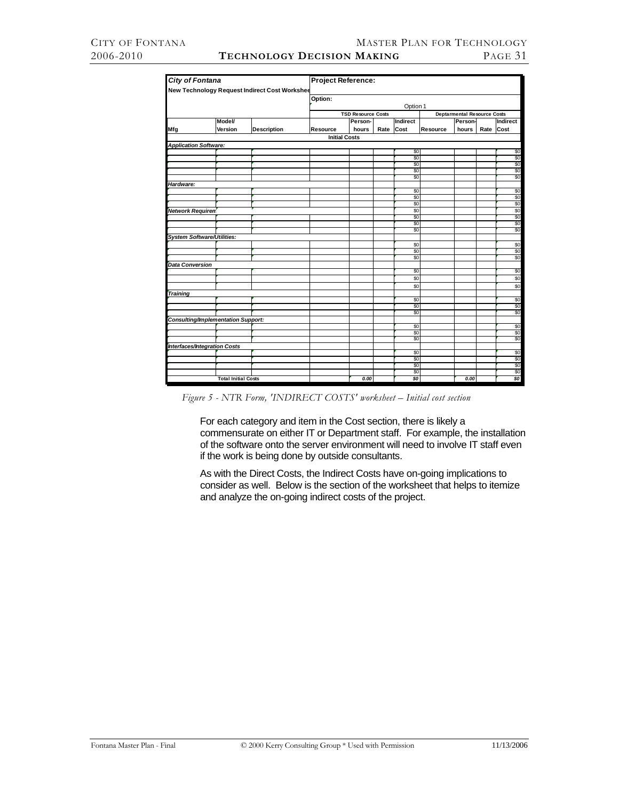|                                           | <b>City of Fontana</b>     |                                               | Project Reference:   |                           |      |                 |          |                                    |      |            |  |
|-------------------------------------------|----------------------------|-----------------------------------------------|----------------------|---------------------------|------|-----------------|----------|------------------------------------|------|------------|--|
|                                           |                            | New Technology Request Indirect Cost Workshee |                      |                           |      |                 |          |                                    |      |            |  |
|                                           |                            |                                               | Option:              |                           |      |                 |          |                                    |      |            |  |
|                                           |                            |                                               |                      |                           |      | Option 1        |          |                                    |      |            |  |
|                                           |                            |                                               |                      | <b>TSD Resource Costs</b> |      |                 |          | <b>Deptarmental Resource Costs</b> |      |            |  |
|                                           | <b>Model</b>               |                                               |                      | Person-                   |      | Indirect        |          | Person-                            |      | Indirect   |  |
| Mfg                                       | Version                    | <b>Description</b>                            | Resource             | hours                     | Rate | Cost            | Resource | hours                              | Rate | Cost       |  |
|                                           |                            |                                               | <b>Initial Costs</b> |                           |      |                 |          |                                    |      |            |  |
| <b>Application Software:</b>              |                            |                                               |                      |                           |      |                 |          |                                    |      |            |  |
|                                           |                            |                                               |                      |                           |      | \$0             |          |                                    |      | \$0        |  |
|                                           |                            |                                               |                      |                           |      | $\overline{50}$ |          |                                    |      | \$0        |  |
|                                           |                            |                                               |                      |                           |      | \$0             |          |                                    |      | \$0        |  |
|                                           |                            |                                               |                      |                           |      | $\overline{50}$ |          |                                    |      | \$0        |  |
|                                           |                            |                                               |                      |                           |      | \$0             |          |                                    |      | \$0        |  |
| Hardware:                                 |                            |                                               |                      |                           |      | \$0             |          |                                    |      | \$0        |  |
|                                           |                            |                                               |                      |                           |      | \$0             |          |                                    |      | \$0        |  |
|                                           |                            |                                               |                      |                           |      | \$0             |          |                                    |      | \$0        |  |
| Network Requiren                          |                            |                                               |                      |                           |      | \$0             |          |                                    |      | \$0        |  |
|                                           |                            |                                               |                      |                           |      | \$0             |          |                                    |      | \$0        |  |
|                                           |                            |                                               |                      |                           |      | \$0             |          |                                    |      | \$0        |  |
|                                           |                            |                                               |                      |                           |      | \$0             |          |                                    |      | \$0        |  |
| System Software/Utilities:                |                            |                                               |                      |                           |      |                 |          |                                    |      |            |  |
|                                           |                            |                                               |                      |                           |      | \$0             |          |                                    |      | \$0        |  |
|                                           |                            |                                               |                      |                           |      | \$0             |          |                                    |      | \$0        |  |
|                                           |                            |                                               |                      |                           |      | $\overline{50}$ |          |                                    |      | \$0        |  |
| <b>Data Conversion</b>                    |                            |                                               |                      |                           |      |                 |          |                                    |      |            |  |
|                                           |                            |                                               |                      |                           |      | \$0             |          |                                    |      | \$0        |  |
|                                           |                            |                                               |                      |                           |      | \$0             |          |                                    |      | \$0        |  |
|                                           |                            |                                               |                      |                           |      | \$0             |          |                                    |      | \$0        |  |
| Training                                  |                            |                                               |                      |                           |      |                 |          |                                    |      |            |  |
|                                           |                            |                                               |                      |                           |      | \$0<br>\$0      |          |                                    |      | \$0<br>\$0 |  |
|                                           |                            |                                               |                      |                           |      | \$0             |          |                                    |      | \$0        |  |
| <b>Consulting/Implementation Support:</b> |                            |                                               |                      |                           |      |                 |          |                                    |      |            |  |
|                                           |                            |                                               |                      |                           |      | \$0             |          |                                    |      | \$0        |  |
|                                           |                            |                                               |                      |                           |      | \$0             |          |                                    |      | \$0        |  |
|                                           |                            |                                               |                      |                           |      | \$0             |          |                                    |      | \$0        |  |
| <b>Interfaces/Integration Costs</b>       |                            |                                               |                      |                           |      |                 |          |                                    |      |            |  |
|                                           |                            |                                               |                      |                           |      | \$0             |          |                                    |      | \$0        |  |
|                                           |                            |                                               |                      |                           |      | $\overline{50}$ |          |                                    |      | \$0        |  |
|                                           |                            |                                               |                      |                           |      | \$0             |          |                                    |      | \$0        |  |
|                                           | <b>Total Initial Costs</b> |                                               |                      | 0.00                      |      | \$0<br>\$0      |          | 0.00                               |      | \$0<br>\$0 |  |
|                                           |                            |                                               |                      |                           |      |                 |          |                                    |      |            |  |

*Figure 5 - NTR Form, 'INDIRECT COSTS' worksheet – Initial cost section* 

 For each category and item in the Cost section, there is likely a commensurate on either IT or Department staff. For example, the installation of the software onto the server environment will need to involve IT staff even if the work is being done by outside consultants.

 As with the Direct Costs, the Indirect Costs have on-going implications to consider as well. Below is the section of the worksheet that helps to itemize and analyze the on-going indirect costs of the project.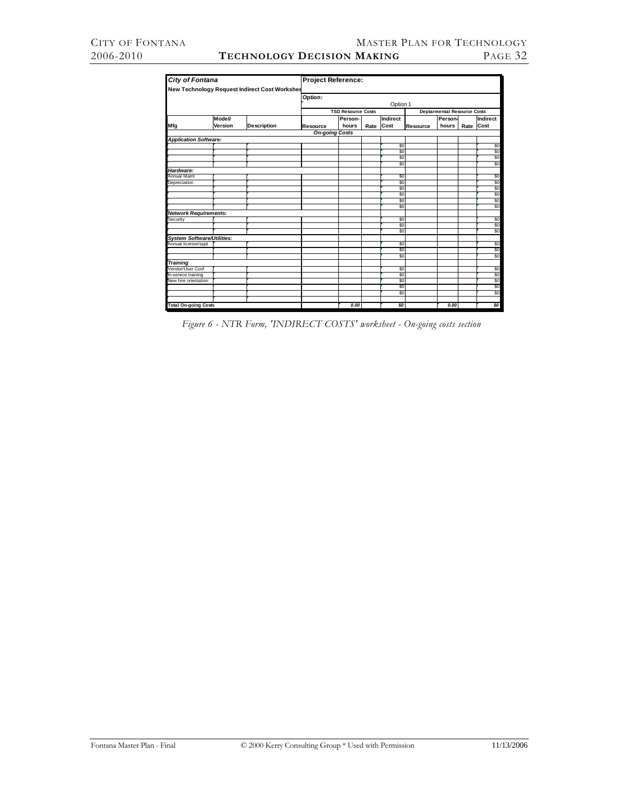| <b>City of Fontana</b>                                   |         |                                               | Project Reference:    |                           |      |                 |          |                                    |      |                 |  |
|----------------------------------------------------------|---------|-----------------------------------------------|-----------------------|---------------------------|------|-----------------|----------|------------------------------------|------|-----------------|--|
|                                                          |         | New Technology Request Indirect Cost Workshee |                       |                           |      |                 |          |                                    |      |                 |  |
|                                                          |         |                                               | Option:               |                           |      |                 |          |                                    |      |                 |  |
|                                                          |         |                                               |                       |                           |      | Option 1        |          |                                    |      |                 |  |
|                                                          |         |                                               |                       | <b>TSD Resource Costs</b> |      |                 |          | <b>Deptarmental Resource Costs</b> |      |                 |  |
|                                                          | Model/  |                                               |                       | Person-                   |      | <b>Indirect</b> |          | Person-                            |      | <b>Indirect</b> |  |
| Mfg                                                      | Version | <b>Description</b>                            | <b>Resource</b>       | hours                     | Rate | Cost            | Resource | hours                              | Rate | <b>Cost</b>     |  |
|                                                          |         |                                               | <b>On-going Costs</b> |                           |      |                 |          |                                    |      |                 |  |
| <b>Application Software:</b>                             |         |                                               |                       |                           |      |                 |          |                                    |      |                 |  |
|                                                          |         |                                               |                       |                           |      | \$0             |          |                                    |      | \$0             |  |
|                                                          |         |                                               |                       |                           |      | \$0             |          |                                    |      | \$0             |  |
|                                                          |         |                                               |                       |                           |      | \$0             |          |                                    |      | \$0             |  |
|                                                          |         |                                               |                       |                           |      | \$0             |          |                                    |      | \$0             |  |
| Hardware:                                                |         |                                               |                       |                           |      |                 |          |                                    |      |                 |  |
| <b>Annual Maint</b>                                      |         |                                               |                       |                           |      | \$0             |          |                                    |      | \$0             |  |
| Depreciation                                             |         |                                               |                       |                           |      | \$0             |          |                                    |      | \$0             |  |
|                                                          |         |                                               |                       |                           |      | \$0             |          |                                    |      | \$0             |  |
|                                                          |         |                                               |                       |                           |      | \$0             |          |                                    |      | \$0             |  |
|                                                          |         |                                               |                       |                           |      | \$O             |          |                                    |      | \$0             |  |
|                                                          |         |                                               |                       |                           |      | \$O             |          |                                    |      | \$0             |  |
| <b>Network Requirements:</b>                             |         |                                               |                       |                           |      | \$0             |          |                                    |      |                 |  |
| Security                                                 |         |                                               |                       |                           |      | \$0             |          |                                    |      | \$0<br>\$0      |  |
|                                                          |         |                                               |                       |                           |      | \$0             |          |                                    |      | \$0             |  |
|                                                          |         |                                               |                       |                           |      |                 |          |                                    |      |                 |  |
| <b>System Software/Utilities:</b><br>Annual license/sppt |         |                                               |                       |                           |      | \$0             |          |                                    |      |                 |  |
|                                                          |         |                                               |                       |                           |      | \$0             |          |                                    |      | $\frac{$0}{$0}$ |  |
|                                                          |         |                                               |                       |                           |      | \$0             |          |                                    |      | \$0             |  |
| Training                                                 |         |                                               |                       |                           |      |                 |          |                                    |      |                 |  |
| Vendor/User Conf                                         |         |                                               |                       |                           |      | \$0             |          |                                    |      | \$0             |  |
| In-service training                                      |         |                                               |                       |                           |      | \$0             |          |                                    |      | \$0             |  |
| New hire orientation                                     |         |                                               |                       |                           |      | \$O             |          |                                    |      | \$0             |  |
|                                                          |         |                                               |                       |                           |      | \$0             |          |                                    |      | \$0             |  |
|                                                          |         |                                               |                       |                           |      | \$0             |          |                                    |      | \$0             |  |
|                                                          |         |                                               |                       |                           |      |                 |          |                                    |      |                 |  |
| <b>Total On-going Costs</b>                              |         |                                               |                       | 0.00                      |      | \$0             |          | 0.00                               |      | SO              |  |

*Figure 6 - NTR Form, 'INDIRECT COSTS' worksheet - On-going costs section*